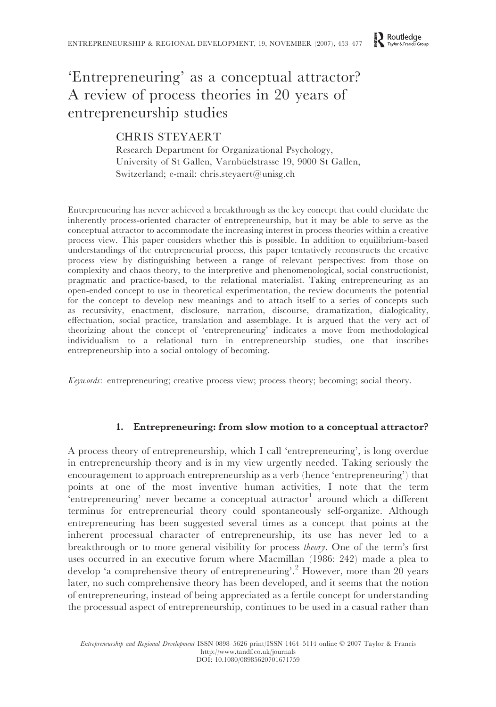# 'Entrepreneuring' as a conceptual attractor? A review of process theories in 20 years of entrepreneurship studies

## CHRIS STEYAERT

Research Department for Organizational Psychology, University of St Gallen, Varnbüelstrasse 19, 9000 St Gallen, Switzerland; e-mail: chris.steyaert@unisg.ch

Entrepreneuring has never achieved a breakthrough as the key concept that could elucidate the inherently process-oriented character of entrepreneurship, but it may be able to serve as the conceptual attractor to accommodate the increasing interest in process theories within a creative process view. This paper considers whether this is possible. In addition to equilibrium-based understandings of the entrepreneurial process, this paper tentatively reconstructs the creative process view by distinguishing between a range of relevant perspectives: from those on complexity and chaos theory, to the interpretive and phenomenological, social constructionist, pragmatic and practice-based, to the relational materialist. Taking entrepreneuring as an open-ended concept to use in theoretical experimentation, the review documents the potential for the concept to develop new meanings and to attach itself to a series of concepts such as recursivity, enactment, disclosure, narration, discourse, dramatization, dialogicality, effectuation, social practice, translation and assemblage. It is argued that the very act of theorizing about the concept of 'entrepreneuring' indicates a move from methodological individualism to a relational turn in entrepreneurship studies, one that inscribes entrepreneurship into a social ontology of becoming.

Keywords: entrepreneuring; creative process view; process theory; becoming; social theory.

## 1. Entrepreneuring: from slow motion to a conceptual attractor?

A process theory of entrepreneurship, which I call 'entrepreneuring', is long overdue in entrepreneurship theory and is in my view urgently needed. Taking seriously the encouragement to approach entrepreneurship as a verb (hence 'entrepreneuring') that points at one of the most inventive human activities, I note that the term 'entrepreneuring' never became a conceptual attractor<sup>1</sup> around which a different terminus for entrepreneurial theory could spontaneously self-organize. Although entrepreneuring has been suggested several times as a concept that points at the inherent processual character of entrepreneurship, its use has never led to a breakthrough or to more general visibility for process theory. One of the term's first uses occurred in an executive forum where Macmillan (1986: 242) made a plea to develop 'a comprehensive theory of entrepreneuring'.<sup>2</sup> However, more than 20 years later, no such comprehensive theory has been developed, and it seems that the notion of entrepreneuring, instead of being appreciated as a fertile concept for understanding the processual aspect of entrepreneurship, continues to be used in a casual rather than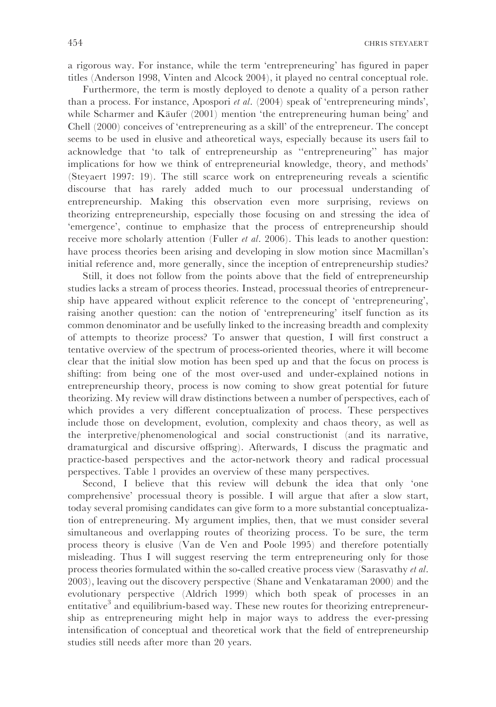a rigorous way. For instance, while the term 'entrepreneuring' has figured in paper titles (Anderson 1998, Vinten and Alcock 2004), it played no central conceptual role.

Furthermore, the term is mostly deployed to denote a quality of a person rather than a process. For instance, Apospori et al. (2004) speak of 'entrepreneuring minds', while Scharmer and Käufer  $(2001)$  mention 'the entrepreneuring human being' and Chell (2000) conceives of 'entrepreneuring as a skill' of the entrepreneur. The concept seems to be used in elusive and atheoretical ways, especially because its users fail to acknowledge that 'to talk of entrepreneurship as ''entrepreneuring'' has major implications for how we think of entrepreneurial knowledge, theory, and methods' (Steyaert 1997: 19). The still scarce work on entrepreneuring reveals a scientific discourse that has rarely added much to our processual understanding of entrepreneurship. Making this observation even more surprising, reviews on theorizing entrepreneurship, especially those focusing on and stressing the idea of 'emergence', continue to emphasize that the process of entrepreneurship should receive more scholarly attention (Fuller *et al.* 2006). This leads to another question: have process theories been arising and developing in slow motion since Macmillan's initial reference and, more generally, since the inception of entrepreneurship studies?

Still, it does not follow from the points above that the field of entrepreneurship studies lacks a stream of process theories. Instead, processual theories of entrepreneurship have appeared without explicit reference to the concept of 'entrepreneuring', raising another question: can the notion of 'entrepreneuring' itself function as its common denominator and be usefully linked to the increasing breadth and complexity of attempts to theorize process? To answer that question, I will first construct a tentative overview of the spectrum of process-oriented theories, where it will become clear that the initial slow motion has been sped up and that the focus on process is shifting: from being one of the most over-used and under-explained notions in entrepreneurship theory, process is now coming to show great potential for future theorizing. My review will draw distinctions between a number of perspectives, each of which provides a very different conceptualization of process. These perspectives include those on development, evolution, complexity and chaos theory, as well as the interpretive/phenomenological and social constructionist (and its narrative, dramaturgical and discursive offspring). Afterwards, I discuss the pragmatic and practice-based perspectives and the actor-network theory and radical processual perspectives. Table 1 provides an overview of these many perspectives.

Second, I believe that this review will debunk the idea that only 'one comprehensive' processual theory is possible. I will argue that after a slow start, today several promising candidates can give form to a more substantial conceptualization of entrepreneuring. My argument implies, then, that we must consider several simultaneous and overlapping routes of theorizing process. To be sure, the term process theory is elusive (Van de Ven and Poole 1995) and therefore potentially misleading. Thus I will suggest reserving the term entrepreneuring only for those process theories formulated within the so-called creative process view (Sarasvathy et al. 2003), leaving out the discovery perspective (Shane and Venkataraman 2000) and the evolutionary perspective (Aldrich 1999) which both speak of processes in an entitative<sup>3</sup> and equilibrium-based way. These new routes for theorizing entrepreneurship as entrepreneuring might help in major ways to address the ever-pressing intensification of conceptual and theoretical work that the field of entrepreneurship studies still needs after more than 20 years.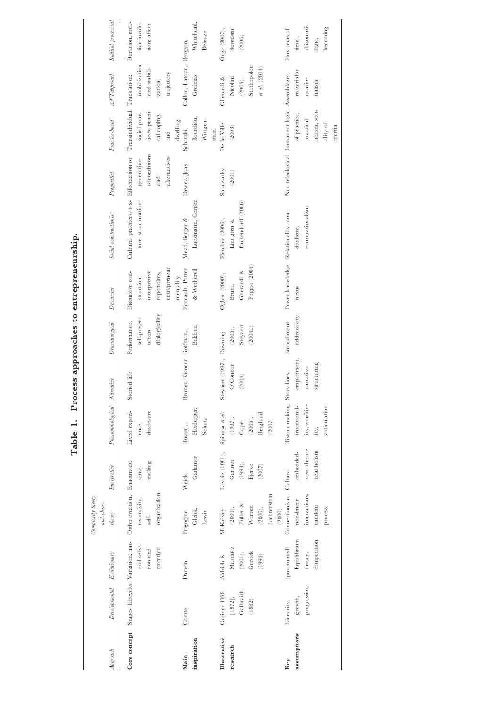| Approach     | Developmental Evolutionary                                                 |              | Complexity theory<br>and chaos<br>$the\,$ | Interpretive           | Pnenomenological Narrative   |                          | $\label{eq:unaligned} Dramaturgical$ | Discursive       | Social constructionist                                               | Pragmatrix                                   | Practice-based     | AVTappach                | Radical processual |
|--------------|----------------------------------------------------------------------------|--------------|-------------------------------------------|------------------------|------------------------------|--------------------------|--------------------------------------|------------------|----------------------------------------------------------------------|----------------------------------------------|--------------------|--------------------------|--------------------|
|              | Core concept Stages, lifecycles Variation, nat- Order creation, Enactment, |              |                                           |                        | Lived experi-                | Storied life             | Performance,                         | Discursive con-  | Cultural practices, tex-Effectuation or Transindividual Translation; |                                              |                    |                          | Duration, crea-    |
|              |                                                                            | ural selec-  | recursivity,                              | sense-                 | ence,                        |                          | self-presen-                         | struction,       | ture, structuration                                                  | generation                                   | social prac-       | mobilization             | tive involu-       |
|              |                                                                            | tion and     | self-                                     | making                 | disclosure                   |                          | tation,                              | interpretive     |                                                                      | of conditions                                | tices, practi-     | and stabili-             | tion; affect       |
|              |                                                                            | retention    | organization                              |                        |                              |                          | dialogicality                        | repertoires,     |                                                                      | and                                          | cal coping         | zation,                  |                    |
|              |                                                                            |              |                                           |                        |                              |                          |                                      | entrepreneur     |                                                                      | alternatives                                 | and                | trajectory               |                    |
|              |                                                                            |              |                                           |                        |                              |                          |                                      | mentality        |                                                                      |                                              | dwelling           |                          |                    |
| Main         | Comte                                                                      | Darwin       | Prigogine,                                | Weick.                 | Husserl,                     | Bruner, Ricoeur Goffman, |                                      | Foucault, Potter | Mead, Berger &                                                       | Dewey, Joas                                  | Schatzki,          | Callon, Latour, Bergson, |                    |
| inspiration  |                                                                            |              | Gleick,                                   | Gadamer                | Heidegger,                   |                          | Bakhtin                              | & Wetherell      | Luckmann, Gergen                                                     |                                              | Bourdieu,          | Greimas                  | Whitehead,         |
|              |                                                                            |              | Lewin                                     |                        | Schutz                       |                          |                                      |                  |                                                                      |                                              | Wittgen-           |                          | Deleuze            |
|              |                                                                            |              |                                           |                        |                              |                          |                                      |                  |                                                                      |                                              | stain              |                          |                    |
| Illustrative | Greiner 1998                                                               | Aldrich $\&$ | McKelvey                                  | Lavoie (1991),         | Spinosa et al.               | Steyaert (1997), Downing |                                      | Ogbor (2000),    | Fletcher (2006),                                                     | Sarasvathy                                   | De la Ville        | Gherardi &               | Örge (2007),       |
| research     | $[1972]$ ,                                                                 | Martinez     | $(2004),$                                 | Gartner                | (1997),                      | O'Connor                 | $(2005)$ ,                           | Bruni,           | Lindgren &                                                           | (2001)                                       | (2003)             | Nicolini                 | Sørensen           |
|              | Galbraith                                                                  | $(2001),\,$  | Fuller $\&$                               | $\left( 1993\right) ,$ | Cope                         | (2004)                   | Steyaert                             | Gherardi &       | Packendorff (2006)                                                   |                                              |                    | (2005),                  | (2006)             |
|              | (1982)                                                                     | Gersick      | Warren                                    | Bjerke                 | $(2005),\,$                  |                          | (2004a)                              | Poggio (2004)    |                                                                      |                                              |                    | Stathopolou              |                    |
|              |                                                                            | (1994)       | $(2006),\,$                               | $(2007)$               | Berglund                     |                          |                                      |                  |                                                                      |                                              |                    | $et~al.~(2004)$          |                    |
|              |                                                                            |              | Lichtenstein                              |                        | (2007)                       |                          |                                      |                  |                                                                      |                                              |                    |                          |                    |
|              |                                                                            |              | $(2000)$                                  |                        |                              |                          |                                      |                  |                                                                      |                                              |                    |                          |                    |
| Key          | Linearity,                                                                 | (punctuated) | Connectionism, Cultural                   |                        | History making, Story lines, |                          | Embodiment,                          |                  | Power knowledge Relationality, non-                                  | Non-teleological Immanent logic Assemblages, |                    |                          | Flux (eras of      |
| assumptions  | growth,                                                                    | Equilibrium  | $\operatorname{non-linear}$               | embedded-              | intentional-                 | emplotment,              | addressivity                         | nexus            | dualisttc,                                                           |                                              | of practice,       | materialist              | time),             |
|              | progression                                                                | theory,      | interactions,                             | ness, theore-          | ity, sensitiv-               | narrative                |                                      |                  | converationalism                                                     |                                              | $_{\rm practical}$ | relatio-                 | rhizomatic         |
|              |                                                                            | competition  | random                                    | holism<br>tical        | ity,                         | structuring              |                                      |                  |                                                                      |                                              | holism, soci-      | nalism                   | logic,             |
|              |                                                                            |              | process                                   |                        | articulation                 |                          |                                      |                  |                                                                      |                                              | ality of           |                          | becoming           |
|              |                                                                            |              |                                           |                        |                              |                          |                                      |                  |                                                                      |                                              | inertia            |                          |                    |
|              |                                                                            |              |                                           |                        |                              |                          |                                      |                  |                                                                      |                                              |                    |                          |                    |

Table 1. Process approaches to entrepreneurship. Table 1. Process approaches to entrepreneurship.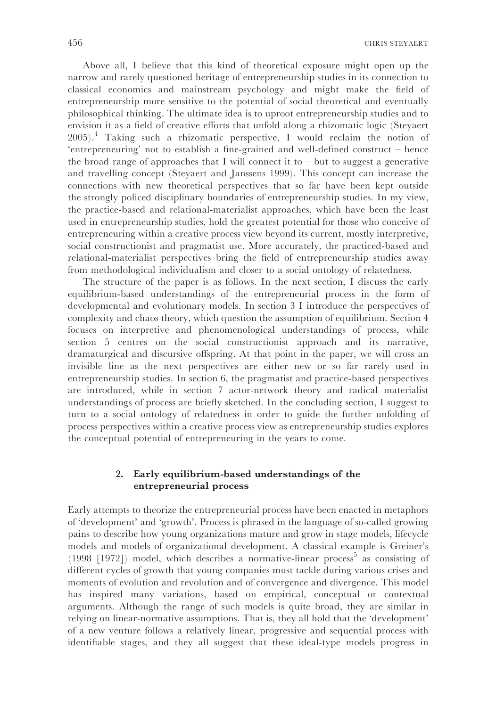456 CHRIS STEYAERT

Above all, I believe that this kind of theoretical exposure might open up the narrow and rarely questioned heritage of entrepreneurship studies in its connection to classical economics and mainstream psychology and might make the field of entrepreneurship more sensitive to the potential of social theoretical and eventually philosophical thinking. The ultimate idea is to uproot entrepreneurship studies and to envision it as a field of creative efforts that unfold along a rhizomatic logic (Steyaert  $2005$ .<sup>4</sup> Taking such a rhizomatic perspective, I would reclaim the notion of 'entrepreneuring' not to establish a fine-grained and well-defined construct – hence the broad range of approaches that I will connect it to  $-$  but to suggest a generative and travelling concept (Steyaert and Janssens 1999). This concept can increase the connections with new theoretical perspectives that so far have been kept outside the strongly policed disciplinary boundaries of entrepreneurship studies. In my view, the practice-based and relational-materialist approaches, which have been the least used in entrepreneurship studies, hold the greatest potential for those who conceive of entrepreneuring within a creative process view beyond its current, mostly interpretive, social constructionist and pragmatist use. More accurately, the practiced-based and relational-materialist perspectives bring the field of entrepreneurship studies away from methodological individualism and closer to a social ontology of relatedness.

The structure of the paper is as follows. In the next section, I discuss the early equilibrium-based understandings of the entrepreneurial process in the form of developmental and evolutionary models. In section 3 I introduce the perspectives of complexity and chaos theory, which question the assumption of equilibrium. Section 4 focuses on interpretive and phenomenological understandings of process, while section 5 centres on the social constructionist approach and its narrative, dramaturgical and discursive offspring. At that point in the paper, we will cross an invisible line as the next perspectives are either new or so far rarely used in entrepreneurship studies. In section 6, the pragmatist and practice-based perspectives are introduced, while in section 7 actor-network theory and radical materialist understandings of process are briefly sketched. In the concluding section, I suggest to turn to a social ontology of relatedness in order to guide the further unfolding of process perspectives within a creative process view as entrepreneurship studies explores the conceptual potential of entrepreneuring in the years to come.

#### 2. Early equilibrium-based understandings of the entrepreneurial process

Early attempts to theorize the entrepreneurial process have been enacted in metaphors of 'development' and 'growth'. Process is phrased in the language of so-called growing pains to describe how young organizations mature and grow in stage models, lifecycle models and models of organizational development. A classical example is Greiner's (1998 [1972]) model, which describes a normative-linear process<sup>5</sup> as consisting of different cycles of growth that young companies must tackle during various crises and moments of evolution and revolution and of convergence and divergence. This model has inspired many variations, based on empirical, conceptual or contextual arguments. Although the range of such models is quite broad, they are similar in relying on linear-normative assumptions. That is, they all hold that the 'development' of a new venture follows a relatively linear, progressive and sequential process with identifiable stages, and they all suggest that these ideal-type models progress in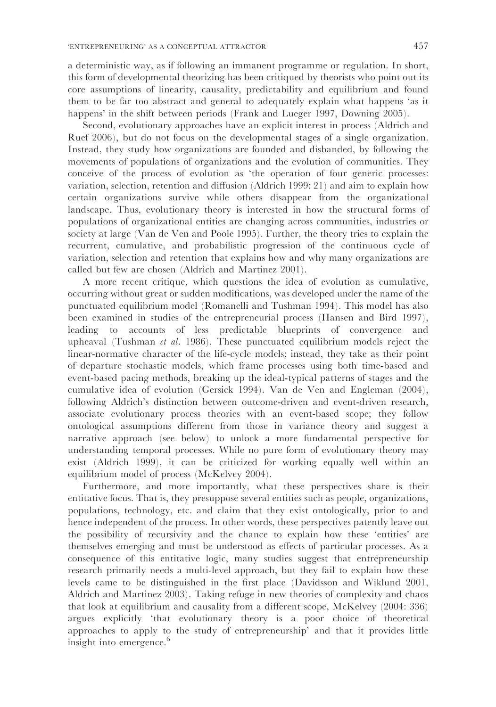a deterministic way, as if following an immanent programme or regulation. In short, this form of developmental theorizing has been critiqued by theorists who point out its core assumptions of linearity, causality, predictability and equilibrium and found them to be far too abstract and general to adequately explain what happens 'as it happens' in the shift between periods (Frank and Lueger 1997, Downing 2005).

Second, evolutionary approaches have an explicit interest in process (Aldrich and Ruef 2006), but do not focus on the developmental stages of a single organization. Instead, they study how organizations are founded and disbanded, by following the movements of populations of organizations and the evolution of communities. They conceive of the process of evolution as 'the operation of four generic processes: variation, selection, retention and diffusion (Aldrich 1999: 21) and aim to explain how certain organizations survive while others disappear from the organizational landscape. Thus, evolutionary theory is interested in how the structural forms of populations of organizational entities are changing across communities, industries or society at large (Van de Ven and Poole 1995). Further, the theory tries to explain the recurrent, cumulative, and probabilistic progression of the continuous cycle of variation, selection and retention that explains how and why many organizations are called but few are chosen (Aldrich and Martinez 2001).

A more recent critique, which questions the idea of evolution as cumulative, occurring without great or sudden modifications, was developed under the name of the punctuated equilibrium model (Romanelli and Tushman 1994). This model has also been examined in studies of the entrepreneurial process (Hansen and Bird 1997), leading to accounts of less predictable blueprints of convergence and upheaval (Tushman et al. 1986). These punctuated equilibrium models reject the linear-normative character of the life-cycle models; instead, they take as their point of departure stochastic models, which frame processes using both time-based and event-based pacing methods, breaking up the ideal-typical patterns of stages and the cumulative idea of evolution (Gersick 1994). Van de Ven and Engleman (2004), following Aldrich's distinction between outcome-driven and event-driven research, associate evolutionary process theories with an event-based scope; they follow ontological assumptions different from those in variance theory and suggest a narrative approach (see below) to unlock a more fundamental perspective for understanding temporal processes. While no pure form of evolutionary theory may exist (Aldrich 1999), it can be criticized for working equally well within an equilibrium model of process (McKelvey 2004).

Furthermore, and more importantly, what these perspectives share is their entitative focus. That is, they presuppose several entities such as people, organizations, populations, technology, etc. and claim that they exist ontologically, prior to and hence independent of the process. In other words, these perspectives patently leave out the possibility of recursivity and the chance to explain how these 'entities' are themselves emerging and must be understood as effects of particular processes. As a consequence of this entitative logic, many studies suggest that entrepreneurship research primarily needs a multi-level approach, but they fail to explain how these levels came to be distinguished in the first place (Davidsson and Wiklund 2001, Aldrich and Martinez 2003). Taking refuge in new theories of complexity and chaos that look at equilibrium and causality from a different scope, McKelvey (2004: 336) argues explicitly 'that evolutionary theory is a poor choice of theoretical approaches to apply to the study of entrepreneurship' and that it provides little insight into emergence.<sup>6</sup>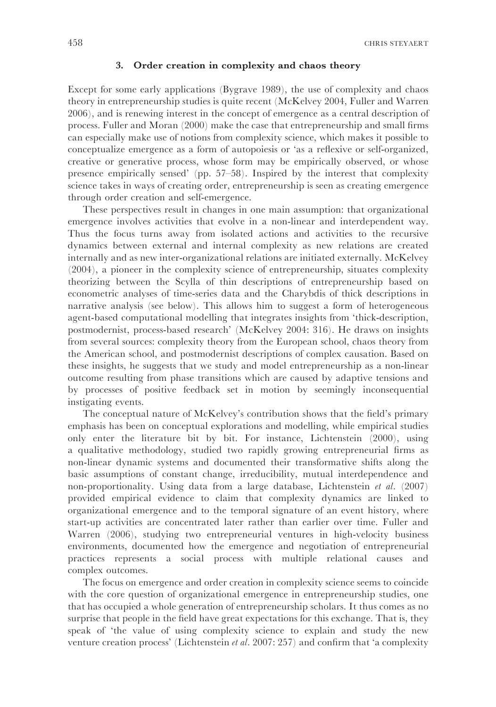#### 3. Order creation in complexity and chaos theory

Except for some early applications (Bygrave 1989), the use of complexity and chaos theory in entrepreneurship studies is quite recent (McKelvey 2004, Fuller and Warren 2006), and is renewing interest in the concept of emergence as a central description of process. Fuller and Moran (2000) make the case that entrepreneurship and small firms can especially make use of notions from complexity science, which makes it possible to conceptualize emergence as a form of autopoiesis or 'as a reflexive or self-organized, creative or generative process, whose form may be empirically observed, or whose presence empirically sensed' (pp. 57–58). Inspired by the interest that complexity science takes in ways of creating order, entrepreneurship is seen as creating emergence through order creation and self-emergence.

These perspectives result in changes in one main assumption: that organizational emergence involves activities that evolve in a non-linear and interdependent way. Thus the focus turns away from isolated actions and activities to the recursive dynamics between external and internal complexity as new relations are created internally and as new inter-organizational relations are initiated externally. McKelvey (2004), a pioneer in the complexity science of entrepreneurship, situates complexity theorizing between the Scylla of thin descriptions of entrepreneurship based on econometric analyses of time-series data and the Charybdis of thick descriptions in narrative analysis (see below). This allows him to suggest a form of heterogeneous agent-based computational modelling that integrates insights from 'thick-description, postmodernist, process-based research' (McKelvey 2004: 316). He draws on insights from several sources: complexity theory from the European school, chaos theory from the American school, and postmodernist descriptions of complex causation. Based on these insights, he suggests that we study and model entrepreneurship as a non-linear outcome resulting from phase transitions which are caused by adaptive tensions and by processes of positive feedback set in motion by seemingly inconsequential instigating events.

The conceptual nature of McKelvey's contribution shows that the field's primary emphasis has been on conceptual explorations and modelling, while empirical studies only enter the literature bit by bit. For instance, Lichtenstein (2000), using a qualitative methodology, studied two rapidly growing entrepreneurial firms as non-linear dynamic systems and documented their transformative shifts along the basic assumptions of constant change, irreducibility, mutual interdependence and non-proportionality. Using data from a large database, Lichtenstein et al.  $(2007)$ provided empirical evidence to claim that complexity dynamics are linked to organizational emergence and to the temporal signature of an event history, where start-up activities are concentrated later rather than earlier over time. Fuller and Warren (2006), studying two entrepreneurial ventures in high-velocity business environments, documented how the emergence and negotiation of entrepreneurial practices represents a social process with multiple relational causes and complex outcomes.

The focus on emergence and order creation in complexity science seems to coincide with the core question of organizational emergence in entrepreneurship studies, one that has occupied a whole generation of entrepreneurship scholars. It thus comes as no surprise that people in the field have great expectations for this exchange. That is, they speak of 'the value of using complexity science to explain and study the new venture creation process' (Lichtenstein *et al.* 2007: 257) and confirm that 'a complexity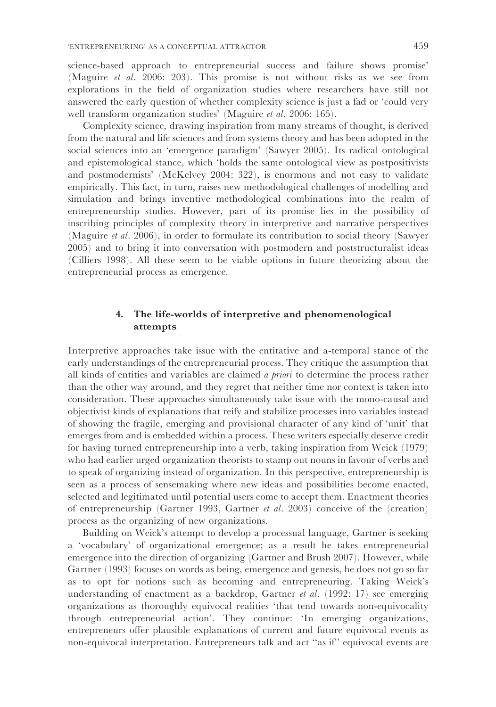science-based approach to entrepreneurial success and failure shows promise' (Maguire et al. 2006: 203). This promise is not without risks as we see from explorations in the field of organization studies where researchers have still not answered the early question of whether complexity science is just a fad or 'could very well transform organization studies' (Maguire et al. 2006: 165).

Complexity science, drawing inspiration from many streams of thought, is derived from the natural and life sciences and from systems theory and has been adopted in the social sciences into an 'emergence paradigm' (Sawyer 2005). Its radical ontological and epistemological stance, which 'holds the same ontological view as postpositivists and postmodernists' (McKelvey 2004: 322), is enormous and not easy to validate empirically. This fact, in turn, raises new methodological challenges of modelling and simulation and brings inventive methodological combinations into the realm of entrepreneurship studies. However, part of its promise lies in the possibility of inscribing principles of complexity theory in interpretive and narrative perspectives (Maguire et al. 2006), in order to formulate its contribution to social theory (Sawyer 2005) and to bring it into conversation with postmodern and poststructuralist ideas (Cilliers 1998). All these seem to be viable options in future theorizing about the entrepreneurial process as emergence.

## 4. The life-worlds of interpretive and phenomenological attempts

Interpretive approaches take issue with the entitative and a-temporal stance of the early understandings of the entrepreneurial process. They critique the assumption that all kinds of entities and variables are claimed  $a$  priori to determine the process rather than the other way around, and they regret that neither time nor context is taken into consideration. These approaches simultaneously take issue with the mono-causal and objectivist kinds of explanations that reify and stabilize processes into variables instead of showing the fragile, emerging and provisional character of any kind of 'unit' that emerges from and is embedded within a process. These writers especially deserve credit for having turned entrepreneurship into a verb, taking inspiration from Weick (1979) who had earlier urged organization theorists to stamp out nouns in favour of verbs and to speak of organizing instead of organization. In this perspective, entrepreneurship is seen as a process of sensemaking where new ideas and possibilities become enacted, selected and legitimated until potential users come to accept them. Enactment theories of entrepreneurship (Gartner 1993, Gartner  $et \ al.$  2003) conceive of the (creation) process as the organizing of new organizations.

Building on Weick's attempt to develop a processual language, Gartner is seeking a 'vocabulary' of organizational emergence; as a result he takes entrepreneurial emergence into the direction of organizing (Gartner and Brush 2007). However, while Gartner (1993) focuses on words as being, emergence and genesis, he does not go so far as to opt for notions such as becoming and entrepreneuring. Taking Weick's understanding of enactment as a backdrop, Gartner et al.  $(1992: 17)$  see emerging organizations as thoroughly equivocal realities 'that tend towards non-equivocality through entrepreneurial action'. They continue: 'In emerging organizations, entrepreneurs offer plausible explanations of current and future equivocal events as non-equivocal interpretation. Entrepreneurs talk and act ''as if'' equivocal events are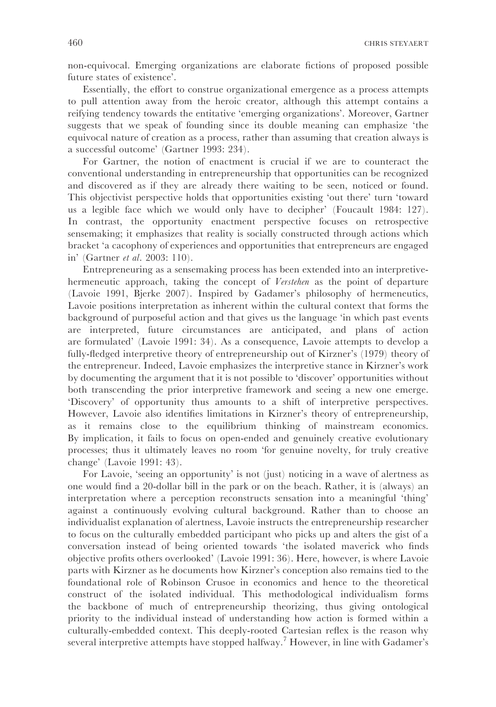non-equivocal. Emerging organizations are elaborate fictions of proposed possible future states of existence'.

Essentially, the effort to construe organizational emergence as a process attempts to pull attention away from the heroic creator, although this attempt contains a reifying tendency towards the entitative 'emerging organizations'. Moreover, Gartner suggests that we speak of founding since its double meaning can emphasize 'the equivocal nature of creation as a process, rather than assuming that creation always is a successful outcome' (Gartner 1993: 234).

For Gartner, the notion of enactment is crucial if we are to counteract the conventional understanding in entrepreneurship that opportunities can be recognized and discovered as if they are already there waiting to be seen, noticed or found. This objectivist perspective holds that opportunities existing 'out there' turn 'toward us a legible face which we would only have to decipher' (Foucault 1984: 127). In contrast, the opportunity enactment perspective focuses on retrospective sensemaking; it emphasizes that reality is socially constructed through actions which bracket 'a cacophony of experiences and opportunities that entrepreneurs are engaged in' (Gartner et al. 2003: 110).

Entrepreneuring as a sensemaking process has been extended into an interpretivehermeneutic approach, taking the concept of Verstehen as the point of departure (Lavoie 1991, Bjerke 2007). Inspired by Gadamer's philosophy of hermeneutics, Lavoie positions interpretation as inherent within the cultural context that forms the background of purposeful action and that gives us the language 'in which past events are interpreted, future circumstances are anticipated, and plans of action are formulated' (Lavoie 1991: 34). As a consequence, Lavoie attempts to develop a fully-fledged interpretive theory of entrepreneurship out of Kirzner's (1979) theory of the entrepreneur. Indeed, Lavoie emphasizes the interpretive stance in Kirzner's work by documenting the argument that it is not possible to 'discover' opportunities without both transcending the prior interpretive framework and seeing a new one emerge. 'Discovery' of opportunity thus amounts to a shift of interpretive perspectives. However, Lavoie also identifies limitations in Kirzner's theory of entrepreneurship, as it remains close to the equilibrium thinking of mainstream economics. By implication, it fails to focus on open-ended and genuinely creative evolutionary processes; thus it ultimately leaves no room 'for genuine novelty, for truly creative change' (Lavoie 1991: 43).

For Lavoie, 'seeing an opportunity' is not (just) noticing in a wave of alertness as one would find a 20-dollar bill in the park or on the beach. Rather, it is (always) an interpretation where a perception reconstructs sensation into a meaningful 'thing' against a continuously evolving cultural background. Rather than to choose an individualist explanation of alertness, Lavoie instructs the entrepreneurship researcher to focus on the culturally embedded participant who picks up and alters the gist of a conversation instead of being oriented towards 'the isolated maverick who finds objective profits others overlooked' (Lavoie 1991: 36). Here, however, is where Lavoie parts with Kirzner as he documents how Kirzner's conception also remains tied to the foundational role of Robinson Crusoe in economics and hence to the theoretical construct of the isolated individual. This methodological individualism forms the backbone of much of entrepreneurship theorizing, thus giving ontological priority to the individual instead of understanding how action is formed within a culturally-embedded context. This deeply-rooted Cartesian reflex is the reason why several interpretive attempts have stopped halfway.<sup>7</sup> However, in line with Gadamer's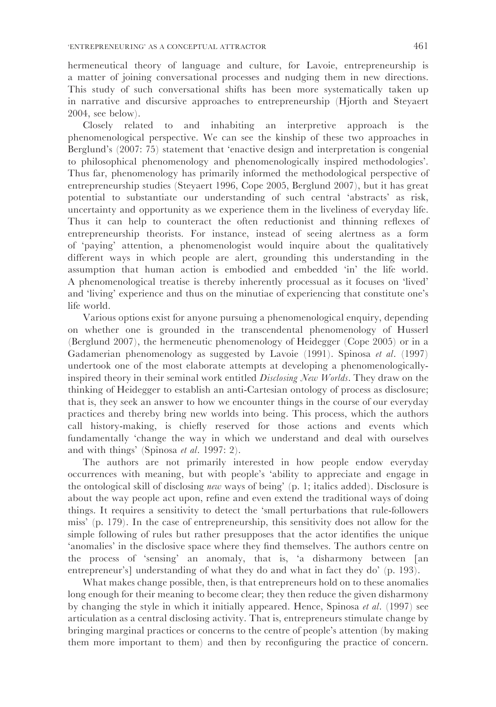hermeneutical theory of language and culture, for Lavoie, entrepreneurship is a matter of joining conversational processes and nudging them in new directions. This study of such conversational shifts has been more systematically taken up in narrative and discursive approaches to entrepreneurship (Hjorth and Steyaert 2004, see below).

Closely related to and inhabiting an interpretive approach is the phenomenological perspective. We can see the kinship of these two approaches in Berglund's (2007: 75) statement that 'enactive design and interpretation is congenial to philosophical phenomenology and phenomenologically inspired methodologies'. Thus far, phenomenology has primarily informed the methodological perspective of entrepreneurship studies (Steyaert 1996, Cope 2005, Berglund 2007), but it has great potential to substantiate our understanding of such central 'abstracts' as risk, uncertainty and opportunity as we experience them in the liveliness of everyday life. Thus it can help to counteract the often reductionist and thinning reflexes of entrepreneurship theorists. For instance, instead of seeing alertness as a form of 'paying' attention, a phenomenologist would inquire about the qualitatively different ways in which people are alert, grounding this understanding in the assumption that human action is embodied and embedded 'in' the life world. A phenomenological treatise is thereby inherently processual as it focuses on 'lived' and 'living' experience and thus on the minutiae of experiencing that constitute one's life world.

Various options exist for anyone pursuing a phenomenological enquiry, depending on whether one is grounded in the transcendental phenomenology of Husserl (Berglund 2007), the hermeneutic phenomenology of Heidegger (Cope 2005) or in a Gadamerian phenomenology as suggested by Lavoie (1991). Spinosa et al. (1997) undertook one of the most elaborate attempts at developing a phenomenologicallyinspired theory in their seminal work entitled Disclosing New Worlds. They draw on the thinking of Heidegger to establish an anti-Cartesian ontology of process as disclosure; that is, they seek an answer to how we encounter things in the course of our everyday practices and thereby bring new worlds into being. This process, which the authors call history-making, is chiefly reserved for those actions and events which fundamentally 'change the way in which we understand and deal with ourselves and with things' (Spinosa et al. 1997: 2).

The authors are not primarily interested in how people endow everyday occurrences with meaning, but with people's 'ability to appreciate and engage in the ontological skill of disclosing new ways of being' (p. 1; italics added). Disclosure is about the way people act upon, refine and even extend the traditional ways of doing things. It requires a sensitivity to detect the 'small perturbations that rule-followers miss' (p. 179). In the case of entrepreneurship, this sensitivity does not allow for the simple following of rules but rather presupposes that the actor identifies the unique 'anomalies' in the disclosive space where they find themselves. The authors centre on the process of 'sensing' an anomaly, that is, 'a disharmony between [an entrepreneur's] understanding of what they do and what in fact they do' (p. 193).

What makes change possible, then, is that entrepreneurs hold on to these anomalies long enough for their meaning to become clear; they then reduce the given disharmony by changing the style in which it initially appeared. Hence, Spinosa et al. (1997) see articulation as a central disclosing activity. That is, entrepreneurs stimulate change by bringing marginal practices or concerns to the centre of people's attention (by making them more important to them) and then by reconfiguring the practice of concern.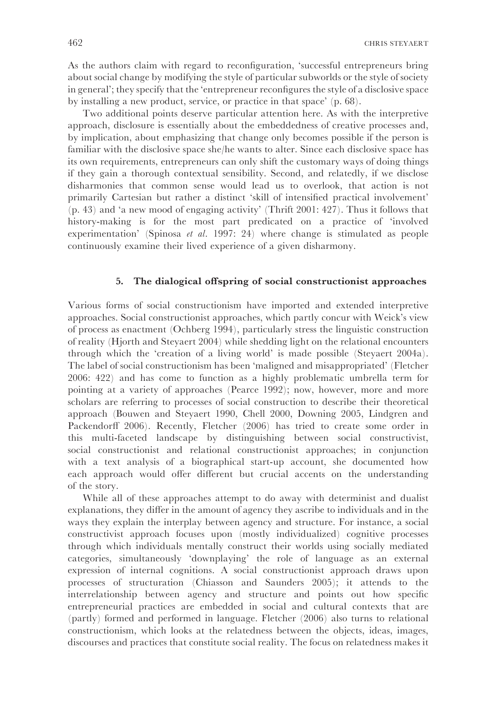462 CHRIS STEYAERT

As the authors claim with regard to reconfiguration, 'successful entrepreneurs bring about social change by modifying the style of particular subworlds or the style of society in general'; they specify that the 'entrepreneur reconfigures the style of a disclosive space by installing a new product, service, or practice in that space' (p. 68).

Two additional points deserve particular attention here. As with the interpretive approach, disclosure is essentially about the embeddedness of creative processes and, by implication, about emphasizing that change only becomes possible if the person is familiar with the disclosive space she/he wants to alter. Since each disclosive space has its own requirements, entrepreneurs can only shift the customary ways of doing things if they gain a thorough contextual sensibility. Second, and relatedly, if we disclose disharmonies that common sense would lead us to overlook, that action is not primarily Cartesian but rather a distinct 'skill of intensified practical involvement' (p. 43) and 'a new mood of engaging activity' (Thrift 2001: 427). Thus it follows that history-making is for the most part predicated on a practice of 'involved experimentation' (Spinosa et al. 1997: 24) where change is stimulated as people continuously examine their lived experience of a given disharmony.

#### 5. The dialogical offspring of social constructionist approaches

Various forms of social constructionism have imported and extended interpretive approaches. Social constructionist approaches, which partly concur with Weick's view of process as enactment (Ochberg 1994), particularly stress the linguistic construction of reality (Hjorth and Steyaert 2004) while shedding light on the relational encounters through which the 'creation of a living world' is made possible (Steyaert 2004a). The label of social constructionism has been 'maligned and misappropriated' (Fletcher 2006: 422) and has come to function as a highly problematic umbrella term for pointing at a variety of approaches (Pearce 1992); now, however, more and more scholars are referring to processes of social construction to describe their theoretical approach (Bouwen and Steyaert 1990, Chell 2000, Downing 2005, Lindgren and Packendorff 2006). Recently, Fletcher (2006) has tried to create some order in this multi-faceted landscape by distinguishing between social constructivist, social constructionist and relational constructionist approaches; in conjunction with a text analysis of a biographical start-up account, she documented how each approach would offer different but crucial accents on the understanding of the story.

While all of these approaches attempt to do away with determinist and dualist explanations, they differ in the amount of agency they ascribe to individuals and in the ways they explain the interplay between agency and structure. For instance, a social constructivist approach focuses upon (mostly individualized) cognitive processes through which individuals mentally construct their worlds using socially mediated categories, simultaneously 'downplaying' the role of language as an external expression of internal cognitions. A social constructionist approach draws upon processes of structuration (Chiasson and Saunders 2005); it attends to the interrelationship between agency and structure and points out how specific entrepreneurial practices are embedded in social and cultural contexts that are (partly) formed and performed in language. Fletcher (2006) also turns to relational constructionism, which looks at the relatedness between the objects, ideas, images, discourses and practices that constitute social reality. The focus on relatedness makes it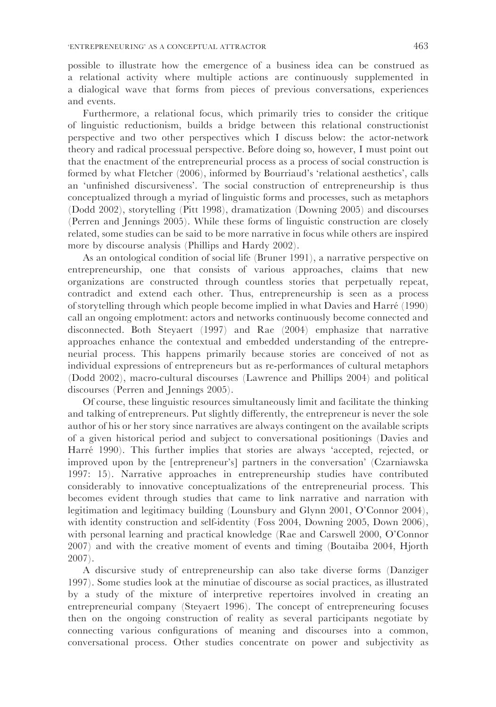possible to illustrate how the emergence of a business idea can be construed as a relational activity where multiple actions are continuously supplemented in a dialogical wave that forms from pieces of previous conversations, experiences and events.

Furthermore, a relational focus, which primarily tries to consider the critique of linguistic reductionism, builds a bridge between this relational constructionist perspective and two other perspectives which I discuss below: the actor-network theory and radical processual perspective. Before doing so, however, I must point out that the enactment of the entrepreneurial process as a process of social construction is formed by what Fletcher (2006), informed by Bourriaud's 'relational aesthetics', calls an 'unfinished discursiveness'. The social construction of entrepreneurship is thus conceptualized through a myriad of linguistic forms and processes, such as metaphors (Dodd 2002), storytelling (Pitt 1998), dramatization (Downing 2005) and discourses (Perren and Jennings 2005). While these forms of linguistic construction are closely related, some studies can be said to be more narrative in focus while others are inspired more by discourse analysis (Phillips and Hardy 2002).

As an ontological condition of social life (Bruner 1991), a narrative perspective on entrepreneurship, one that consists of various approaches, claims that new organizations are constructed through countless stories that perpetually repeat, contradict and extend each other. Thus, entrepreneurship is seen as a process of storytelling through which people become implied in what Davies and Harre´ (1990) call an ongoing emplotment: actors and networks continuously become connected and disconnected. Both Steyaert (1997) and Rae (2004) emphasize that narrative approaches enhance the contextual and embedded understanding of the entrepreneurial process. This happens primarily because stories are conceived of not as individual expressions of entrepreneurs but as re-performances of cultural metaphors (Dodd 2002), macro-cultural discourses (Lawrence and Phillips 2004) and political discourses (Perren and Jennings 2005).

Of course, these linguistic resources simultaneously limit and facilitate the thinking and talking of entrepreneurs. Put slightly differently, the entrepreneur is never the sole author of his or her story since narratives are always contingent on the available scripts of a given historical period and subject to conversational positionings (Davies and Harré 1990). This further implies that stories are always 'accepted, rejected, or improved upon by the [entrepreneur's] partners in the conversation' (Czarniawska 1997: 15). Narrative approaches in entrepreneurship studies have contributed considerably to innovative conceptualizations of the entrepreneurial process. This becomes evident through studies that came to link narrative and narration with legitimation and legitimacy building (Lounsbury and Glynn 2001, O'Connor 2004), with identity construction and self-identity (Foss 2004, Downing 2005, Down 2006), with personal learning and practical knowledge (Rae and Carswell 2000, O'Connor 2007) and with the creative moment of events and timing (Boutaiba 2004, Hjorth 2007).

A discursive study of entrepreneurship can also take diverse forms (Danziger 1997). Some studies look at the minutiae of discourse as social practices, as illustrated by a study of the mixture of interpretive repertoires involved in creating an entrepreneurial company (Steyaert 1996). The concept of entrepreneuring focuses then on the ongoing construction of reality as several participants negotiate by connecting various configurations of meaning and discourses into a common, conversational process. Other studies concentrate on power and subjectivity as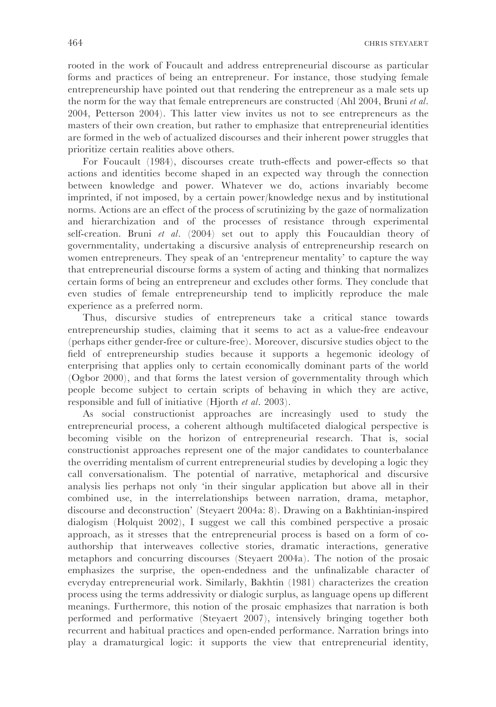464 CHRIS STEYAERT

rooted in the work of Foucault and address entrepreneurial discourse as particular forms and practices of being an entrepreneur. For instance, those studying female entrepreneurship have pointed out that rendering the entrepreneur as a male sets up the norm for the way that female entrepreneurs are constructed (Ahl 2004, Bruni et al. 2004, Petterson 2004). This latter view invites us not to see entrepreneurs as the masters of their own creation, but rather to emphasize that entrepreneurial identities are formed in the web of actualized discourses and their inherent power struggles that prioritize certain realities above others.

For Foucault (1984), discourses create truth-effects and power-effects so that actions and identities become shaped in an expected way through the connection between knowledge and power. Whatever we do, actions invariably become imprinted, if not imposed, by a certain power/knowledge nexus and by institutional norms. Actions are an effect of the process of scrutinizing by the gaze of normalization and hierarchization and of the processes of resistance through experimental self-creation. Bruni et al.  $(2004)$  set out to apply this Foucauldian theory of governmentality, undertaking a discursive analysis of entrepreneurship research on women entrepreneurs. They speak of an 'entrepreneur mentality' to capture the way that entrepreneurial discourse forms a system of acting and thinking that normalizes certain forms of being an entrepreneur and excludes other forms. They conclude that even studies of female entrepreneurship tend to implicitly reproduce the male experience as a preferred norm.

Thus, discursive studies of entrepreneurs take a critical stance towards entrepreneurship studies, claiming that it seems to act as a value-free endeavour (perhaps either gender-free or culture-free). Moreover, discursive studies object to the field of entrepreneurship studies because it supports a hegemonic ideology of enterprising that applies only to certain economically dominant parts of the world (Ogbor 2000), and that forms the latest version of governmentality through which people become subject to certain scripts of behaving in which they are active, responsible and full of initiative (Hjorth et al. 2003).

As social constructionist approaches are increasingly used to study the entrepreneurial process, a coherent although multifaceted dialogical perspective is becoming visible on the horizon of entrepreneurial research. That is, social constructionist approaches represent one of the major candidates to counterbalance the overriding mentalism of current entrepreneurial studies by developing a logic they call conversationalism. The potential of narrative, metaphorical and discursive analysis lies perhaps not only 'in their singular application but above all in their combined use, in the interrelationships between narration, drama, metaphor, discourse and deconstruction' (Steyaert 2004a: 8). Drawing on a Bakhtinian-inspired dialogism (Holquist 2002), I suggest we call this combined perspective a prosaic approach, as it stresses that the entrepreneurial process is based on a form of coauthorship that interweaves collective stories, dramatic interactions, generative metaphors and concurring discourses (Steyaert 2004a). The notion of the prosaic emphasizes the surprise, the open-endedness and the unfinalizable character of everyday entrepreneurial work. Similarly, Bakhtin (1981) characterizes the creation process using the terms addressivity or dialogic surplus, as language opens up different meanings. Furthermore, this notion of the prosaic emphasizes that narration is both performed and performative (Steyaert 2007), intensively bringing together both recurrent and habitual practices and open-ended performance. Narration brings into play a dramaturgical logic: it supports the view that entrepreneurial identity,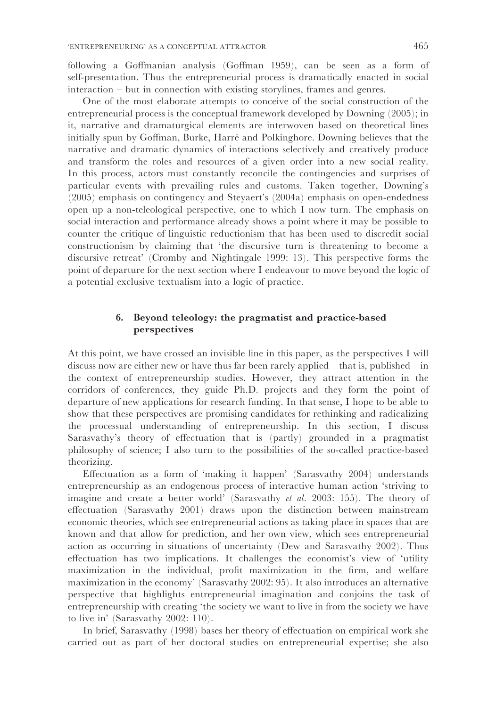following a Goffmanian analysis (Goffman 1959), can be seen as a form of self-presentation. Thus the entrepreneurial process is dramatically enacted in social interaction – but in connection with existing storylines, frames and genres.

One of the most elaborate attempts to conceive of the social construction of the entrepreneurial process is the conceptual framework developed by Downing (2005); in it, narrative and dramaturgical elements are interwoven based on theoretical lines initially spun by Goffman, Burke, Harré and Polkinghore. Downing believes that the narrative and dramatic dynamics of interactions selectively and creatively produce and transform the roles and resources of a given order into a new social reality. In this process, actors must constantly reconcile the contingencies and surprises of particular events with prevailing rules and customs. Taken together, Downing's (2005) emphasis on contingency and Steyaert's (2004a) emphasis on open-endedness open up a non-teleological perspective, one to which I now turn. The emphasis on social interaction and performance already shows a point where it may be possible to counter the critique of linguistic reductionism that has been used to discredit social constructionism by claiming that 'the discursive turn is threatening to become a discursive retreat' (Cromby and Nightingale 1999: 13). This perspective forms the point of departure for the next section where I endeavour to move beyond the logic of a potential exclusive textualism into a logic of practice.

#### 6. Beyond teleology: the pragmatist and practice-based perspectives

At this point, we have crossed an invisible line in this paper, as the perspectives I will discuss now are either new or have thus far been rarely applied – that is, published – in the context of entrepreneurship studies. However, they attract attention in the corridors of conferences, they guide Ph.D. projects and they form the point of departure of new applications for research funding. In that sense, I hope to be able to show that these perspectives are promising candidates for rethinking and radicalizing the processual understanding of entrepreneurship. In this section, I discuss Sarasvathy's theory of effectuation that is (partly) grounded in a pragmatist philosophy of science; I also turn to the possibilities of the so-called practice-based theorizing.

Effectuation as a form of 'making it happen' (Sarasvathy 2004) understands entrepreneurship as an endogenous process of interactive human action 'striving to imagine and create a better world' (Sarasvathy et al. 2003: 155). The theory of effectuation (Sarasvathy 2001) draws upon the distinction between mainstream economic theories, which see entrepreneurial actions as taking place in spaces that are known and that allow for prediction, and her own view, which sees entrepreneurial action as occurring in situations of uncertainty (Dew and Sarasvathy 2002). Thus effectuation has two implications. It challenges the economist's view of 'utility maximization in the individual, profit maximization in the firm, and welfare maximization in the economy' (Sarasvathy 2002: 95). It also introduces an alternative perspective that highlights entrepreneurial imagination and conjoins the task of entrepreneurship with creating 'the society we want to live in from the society we have to live in' (Sarasvathy 2002: 110).

In brief, Sarasvathy (1998) bases her theory of effectuation on empirical work she carried out as part of her doctoral studies on entrepreneurial expertise; she also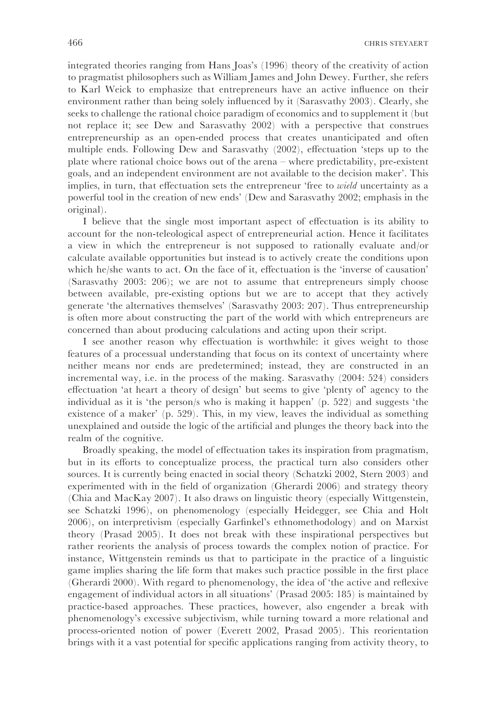integrated theories ranging from Hans Joas's (1996) theory of the creativity of action to pragmatist philosophers such as William James and John Dewey. Further, she refers to Karl Weick to emphasize that entrepreneurs have an active influence on their environment rather than being solely influenced by it (Sarasvathy 2003). Clearly, she seeks to challenge the rational choice paradigm of economics and to supplement it (but not replace it; see Dew and Sarasvathy 2002) with a perspective that construes entrepreneurship as an open-ended process that creates unanticipated and often multiple ends. Following Dew and Sarasvathy (2002), effectuation 'steps up to the plate where rational choice bows out of the arena – where predictability, pre-existent goals, and an independent environment are not available to the decision maker'. This implies, in turn, that effectuation sets the entrepreneur 'free to *wield* uncertainty as a powerful tool in the creation of new ends' (Dew and Sarasvathy 2002; emphasis in the original).

I believe that the single most important aspect of effectuation is its ability to account for the non-teleological aspect of entrepreneurial action. Hence it facilitates a view in which the entrepreneur is not supposed to rationally evaluate and/or calculate available opportunities but instead is to actively create the conditions upon which he/she wants to act. On the face of it, effectuation is the 'inverse of causation' (Sarasvathy 2003: 206); we are not to assume that entrepreneurs simply choose between available, pre-existing options but we are to accept that they actively generate 'the alternatives themselves' (Sarasvathy 2003: 207). Thus entrepreneurship is often more about constructing the part of the world with which entrepreneurs are concerned than about producing calculations and acting upon their script.

I see another reason why effectuation is worthwhile: it gives weight to those features of a processual understanding that focus on its context of uncertainty where neither means nor ends are predetermined; instead, they are constructed in an incremental way, i.e. in the process of the making. Sarasvathy (2004: 524) considers effectuation 'at heart a theory of design' but seems to give 'plenty of' agency to the individual as it is 'the person/s who is making it happen' (p. 522) and suggests 'the existence of a maker' (p. 529). This, in my view, leaves the individual as something unexplained and outside the logic of the artificial and plunges the theory back into the realm of the cognitive.

Broadly speaking, the model of effectuation takes its inspiration from pragmatism, but in its efforts to conceptualize process, the practical turn also considers other sources. It is currently being enacted in social theory (Schatzki 2002, Stern 2003) and experimented with in the field of organization (Gherardi 2006) and strategy theory (Chia and MacKay 2007). It also draws on linguistic theory (especially Wittgenstein, see Schatzki 1996), on phenomenology (especially Heidegger, see Chia and Holt 2006), on interpretivism (especially Garfinkel's ethnomethodology) and on Marxist theory (Prasad 2005). It does not break with these inspirational perspectives but rather reorients the analysis of process towards the complex notion of practice. For instance, Wittgenstein reminds us that to participate in the practice of a linguistic game implies sharing the life form that makes such practice possible in the first place (Gherardi 2000). With regard to phenomenology, the idea of 'the active and reflexive engagement of individual actors in all situations' (Prasad 2005: 185) is maintained by practice-based approaches. These practices, however, also engender a break with phenomenology's excessive subjectivism, while turning toward a more relational and process-oriented notion of power (Everett 2002, Prasad 2005). This reorientation brings with it a vast potential for specific applications ranging from activity theory, to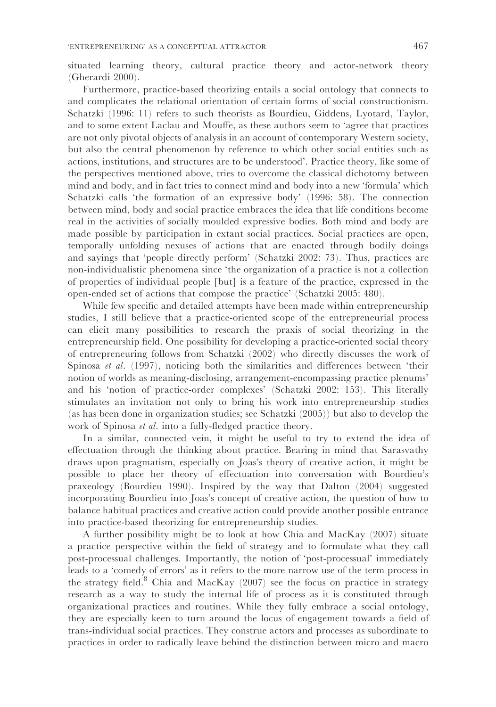situated learning theory, cultural practice theory and actor-network theory (Gherardi 2000).

Furthermore, practice-based theorizing entails a social ontology that connects to and complicates the relational orientation of certain forms of social constructionism. Schatzki (1996: 11) refers to such theorists as Bourdieu, Giddens, Lyotard, Taylor, and to some extent Laclau and Mouffe, as these authors seem to 'agree that practices are not only pivotal objects of analysis in an account of contemporary Western society, but also the central phenomenon by reference to which other social entities such as actions, institutions, and structures are to be understood'. Practice theory, like some of the perspectives mentioned above, tries to overcome the classical dichotomy between mind and body, and in fact tries to connect mind and body into a new 'formula' which Schatzki calls 'the formation of an expressive body' (1996: 58). The connection between mind, body and social practice embraces the idea that life conditions become real in the activities of socially moulded expressive bodies. Both mind and body are made possible by participation in extant social practices. Social practices are open, temporally unfolding nexuses of actions that are enacted through bodily doings and sayings that 'people directly perform' (Schatzki 2002: 73). Thus, practices are non-individualistic phenomena since 'the organization of a practice is not a collection of properties of individual people [but] is a feature of the practice, expressed in the open-ended set of actions that compose the practice' (Schatzki 2005: 480).

While few specific and detailed attempts have been made within entrepreneurship studies, I still believe that a practice-oriented scope of the entrepreneurial process can elicit many possibilities to research the praxis of social theorizing in the entrepreneurship field. One possibility for developing a practice-oriented social theory of entrepreneuring follows from Schatzki (2002) who directly discusses the work of Spinosa et al. (1997), noticing both the similarities and differences between 'their notion of worlds as meaning-disclosing, arrangement-encompassing practice plenums' and his 'notion of practice-order complexes' (Schatzki 2002: 153). This literally stimulates an invitation not only to bring his work into entrepreneurship studies (as has been done in organization studies; see Schatzki (2005)) but also to develop the work of Spinosa et al. into a fully-fledged practice theory.

In a similar, connected vein, it might be useful to try to extend the idea of effectuation through the thinking about practice. Bearing in mind that Sarasvathy draws upon pragmatism, especially on Joas's theory of creative action, it might be possible to place her theory of effectuation into conversation with Bourdieu's praxeology (Bourdieu 1990). Inspired by the way that Dalton (2004) suggested incorporating Bourdieu into Joas's concept of creative action, the question of how to balance habitual practices and creative action could provide another possible entrance into practice-based theorizing for entrepreneurship studies.

A further possibility might be to look at how Chia and MacKay (2007) situate a practice perspective within the field of strategy and to formulate what they call post-processual challenges. Importantly, the notion of 'post-processual' immediately leads to a 'comedy of errors' as it refers to the more narrow use of the term process in the strategy field.<sup>8</sup> Chia and MacKay (2007) see the focus on practice in strategy research as a way to study the internal life of process as it is constituted through organizational practices and routines. While they fully embrace a social ontology, they are especially keen to turn around the locus of engagement towards a field of trans-individual social practices. They construe actors and processes as subordinate to practices in order to radically leave behind the distinction between micro and macro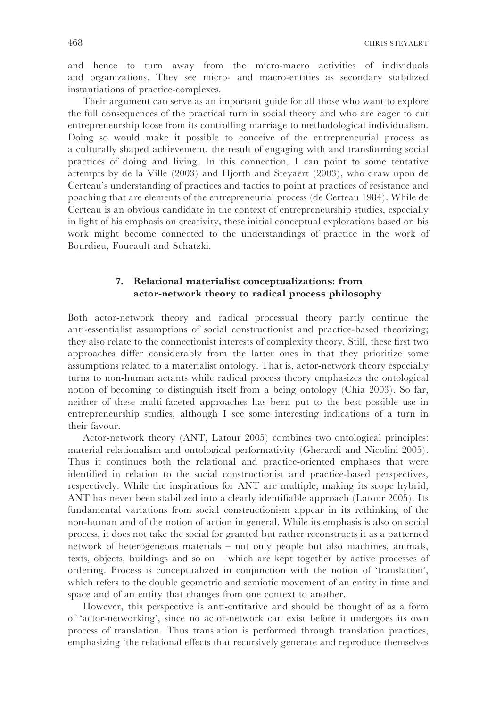468 CHRIS STEYAERT

and hence to turn away from the micro-macro activities of individuals and organizations. They see micro- and macro-entities as secondary stabilized instantiations of practice-complexes.

Their argument can serve as an important guide for all those who want to explore the full consequences of the practical turn in social theory and who are eager to cut entrepreneurship loose from its controlling marriage to methodological individualism. Doing so would make it possible to conceive of the entrepreneurial process as a culturally shaped achievement, the result of engaging with and transforming social practices of doing and living. In this connection, I can point to some tentative attempts by de la Ville (2003) and Hjorth and Steyaert (2003), who draw upon de Certeau's understanding of practices and tactics to point at practices of resistance and poaching that are elements of the entrepreneurial process (de Certeau 1984). While de Certeau is an obvious candidate in the context of entrepreneurship studies, especially in light of his emphasis on creativity, these initial conceptual explorations based on his work might become connected to the understandings of practice in the work of Bourdieu, Foucault and Schatzki.

#### 7. Relational materialist conceptualizations: from actor-network theory to radical process philosophy

Both actor-network theory and radical processual theory partly continue the anti-essentialist assumptions of social constructionist and practice-based theorizing; they also relate to the connectionist interests of complexity theory. Still, these first two approaches differ considerably from the latter ones in that they prioritize some assumptions related to a materialist ontology. That is, actor-network theory especially turns to non-human actants while radical process theory emphasizes the ontological notion of becoming to distinguish itself from a being ontology (Chia 2003). So far, neither of these multi-faceted approaches has been put to the best possible use in entrepreneurship studies, although I see some interesting indications of a turn in their favour.

Actor-network theory (ANT, Latour 2005) combines two ontological principles: material relationalism and ontological performativity (Gherardi and Nicolini 2005). Thus it continues both the relational and practice-oriented emphases that were identified in relation to the social constructionist and practice-based perspectives, respectively. While the inspirations for ANT are multiple, making its scope hybrid, ANT has never been stabilized into a clearly identifiable approach (Latour 2005). Its fundamental variations from social constructionism appear in its rethinking of the non-human and of the notion of action in general. While its emphasis is also on social process, it does not take the social for granted but rather reconstructs it as a patterned network of heterogeneous materials – not only people but also machines, animals, texts, objects, buildings and so on – which are kept together by active processes of ordering. Process is conceptualized in conjunction with the notion of 'translation', which refers to the double geometric and semiotic movement of an entity in time and space and of an entity that changes from one context to another.

However, this perspective is anti-entitative and should be thought of as a form of 'actor-networking', since no actor-network can exist before it undergoes its own process of translation. Thus translation is performed through translation practices, emphasizing 'the relational effects that recursively generate and reproduce themselves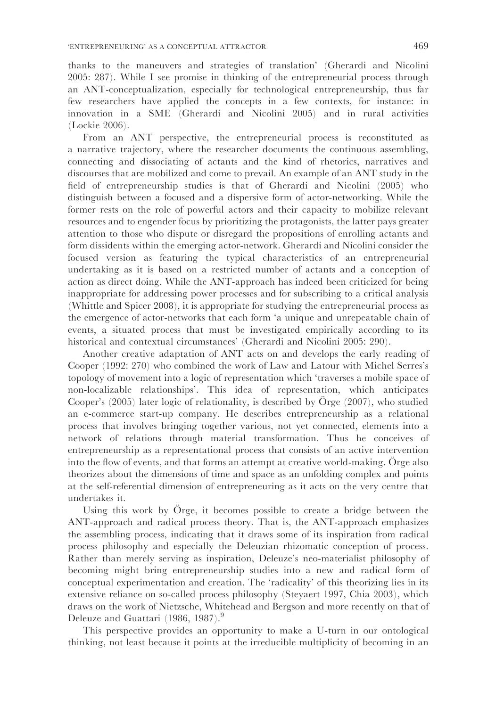thanks to the maneuvers and strategies of translation' (Gherardi and Nicolini 2005: 287). While I see promise in thinking of the entrepreneurial process through an ANT-conceptualization, especially for technological entrepreneurship, thus far few researchers have applied the concepts in a few contexts, for instance: in innovation in a SME (Gherardi and Nicolini 2005) and in rural activities (Lockie 2006).

From an ANT perspective, the entrepreneurial process is reconstituted as a narrative trajectory, where the researcher documents the continuous assembling, connecting and dissociating of actants and the kind of rhetorics, narratives and discourses that are mobilized and come to prevail. An example of an ANT study in the field of entrepreneurship studies is that of Gherardi and Nicolini (2005) who distinguish between a focused and a dispersive form of actor-networking. While the former rests on the role of powerful actors and their capacity to mobilize relevant resources and to engender focus by prioritizing the protagonists, the latter pays greater attention to those who dispute or disregard the propositions of enrolling actants and form dissidents within the emerging actor-network. Gherardi and Nicolini consider the focused version as featuring the typical characteristics of an entrepreneurial undertaking as it is based on a restricted number of actants and a conception of action as direct doing. While the ANT-approach has indeed been criticized for being inappropriate for addressing power processes and for subscribing to a critical analysis (Whittle and Spicer 2008), it is appropriate for studying the entrepreneurial process as the emergence of actor-networks that each form 'a unique and unrepeatable chain of events, a situated process that must be investigated empirically according to its historical and contextual circumstances' (Gherardi and Nicolini 2005: 290).

Another creative adaptation of ANT acts on and develops the early reading of Cooper (1992: 270) who combined the work of Law and Latour with Michel Serres's topology of movement into a logic of representation which 'traverses a mobile space of non-localizable relationships'. This idea of representation, which anticipates Cooper's  $(2005)$  later logic of relationality, is described by Örge  $(2007)$ , who studied an e-commerce start-up company. He describes entrepreneurship as a relational process that involves bringing together various, not yet connected, elements into a network of relations through material transformation. Thus he conceives of entrepreneurship as a representational process that consists of an active intervention into the flow of events, and that forms an attempt at creative world-making. Örge also theorizes about the dimensions of time and space as an unfolding complex and points at the self-referential dimension of entrepreneuring as it acts on the very centre that undertakes it.

Using this work by Örge, it becomes possible to create a bridge between the ANT-approach and radical process theory. That is, the ANT-approach emphasizes the assembling process, indicating that it draws some of its inspiration from radical process philosophy and especially the Deleuzian rhizomatic conception of process. Rather than merely serving as inspiration, Deleuze's neo-materialist philosophy of becoming might bring entrepreneurship studies into a new and radical form of conceptual experimentation and creation. The 'radicality' of this theorizing lies in its extensive reliance on so-called process philosophy (Steyaert 1997, Chia 2003), which draws on the work of Nietzsche, Whitehead and Bergson and more recently on that of Deleuze and Guattari (1986, 1987).<sup>9</sup>

This perspective provides an opportunity to make a U-turn in our ontological thinking, not least because it points at the irreducible multiplicity of becoming in an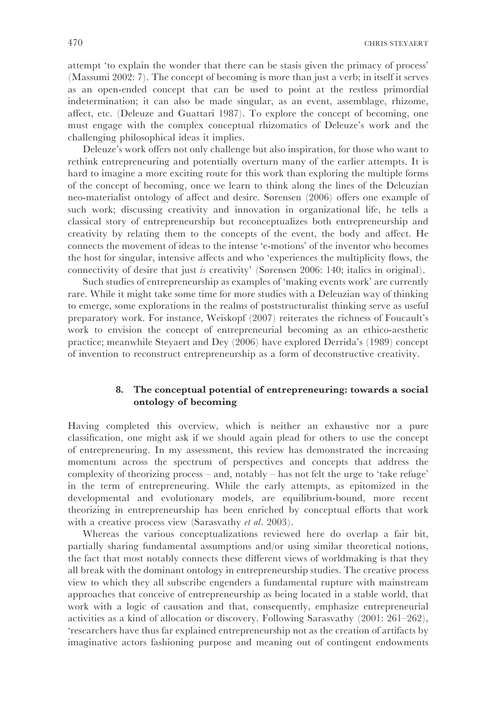attempt 'to explain the wonder that there can be stasis given the primacy of process' (Massumi 2002: 7). The concept of becoming is more than just a verb; in itself it serves as an open-ended concept that can be used to point at the restless primordial indetermination; it can also be made singular, as an event, assemblage, rhizome, affect, etc. (Deleuze and Guattari 1987). To explore the concept of becoming, one must engage with the complex conceptual rhizomatics of Deleuze's work and the challenging philosophical ideas it implies.

Deleuze's work offers not only challenge but also inspiration, for those who want to rethink entrepreneuring and potentially overturn many of the earlier attempts. It is hard to imagine a more exciting route for this work than exploring the multiple forms of the concept of becoming, once we learn to think along the lines of the Deleuzian neo-materialist ontology of affect and desire. Sørensen (2006) offers one example of such work; discussing creativity and innovation in organizational life, he tells a classical story of entrepreneurship but reconceptualizes both entrepreneurship and creativity by relating them to the concepts of the event, the body and affect. He connects the movement of ideas to the intense 'e-motions' of the inventor who becomes the host for singular, intensive affects and who 'experiences the multiplicity flows, the connectivity of desire that just is creativity' (Sørensen 2006: 140; italics in original).

Such studies of entrepreneurship as examples of 'making events work' are currently rare. While it might take some time for more studies with a Deleuzian way of thinking to emerge, some explorations in the realms of poststructuralist thinking serve as useful preparatory work. For instance, Weiskopf (2007) reiterates the richness of Foucault's work to envision the concept of entrepreneurial becoming as an ethico-aesthetic practice; meanwhile Steyaert and Dey (2006) have explored Derrida's (1989) concept of invention to reconstruct entrepreneurship as a form of deconstructive creativity.

### 8. The conceptual potential of entrepreneuring: towards a social ontology of becoming

Having completed this overview, which is neither an exhaustive nor a pure classification, one might ask if we should again plead for others to use the concept of entrepreneuring. In my assessment, this review has demonstrated the increasing momentum across the spectrum of perspectives and concepts that address the complexity of theorizing process – and, notably – has not felt the urge to 'take refuge' in the term of entrepreneuring. While the early attempts, as epitomized in the developmental and evolutionary models, are equilibrium-bound, more recent theorizing in entrepreneurship has been enriched by conceptual efforts that work with a creative process view (Sarasvathy et al. 2003).

Whereas the various conceptualizations reviewed here do overlap a fair bit, partially sharing fundamental assumptions and/or using similar theoretical notions, the fact that most notably connects these different views of worldmaking is that they all break with the dominant ontology in entrepreneurship studies. The creative process view to which they all subscribe engenders a fundamental rupture with mainstream approaches that conceive of entrepreneurship as being located in a stable world, that work with a logic of causation and that, consequently, emphasize entrepreneurial activities as a kind of allocation or discovery. Following Sarasvathy (2001: 261–262), 'researchers have thus far explained entrepreneurship not as the creation of artifacts by imaginative actors fashioning purpose and meaning out of contingent endowments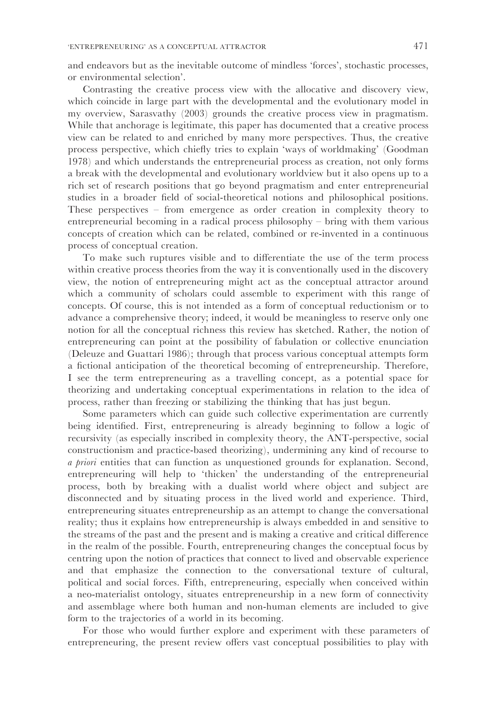and endeavors but as the inevitable outcome of mindless 'forces', stochastic processes, or environmental selection'.

Contrasting the creative process view with the allocative and discovery view, which coincide in large part with the developmental and the evolutionary model in my overview, Sarasvathy (2003) grounds the creative process view in pragmatism. While that anchorage is legitimate, this paper has documented that a creative process view can be related to and enriched by many more perspectives. Thus, the creative process perspective, which chiefly tries to explain 'ways of worldmaking' (Goodman 1978) and which understands the entrepreneurial process as creation, not only forms a break with the developmental and evolutionary worldview but it also opens up to a rich set of research positions that go beyond pragmatism and enter entrepreneurial studies in a broader field of social-theoretical notions and philosophical positions. These perspectives – from emergence as order creation in complexity theory to entrepreneurial becoming in a radical process philosophy – bring with them various concepts of creation which can be related, combined or re-invented in a continuous process of conceptual creation.

To make such ruptures visible and to differentiate the use of the term process within creative process theories from the way it is conventionally used in the discovery view, the notion of entrepreneuring might act as the conceptual attractor around which a community of scholars could assemble to experiment with this range of concepts. Of course, this is not intended as a form of conceptual reductionism or to advance a comprehensive theory; indeed, it would be meaningless to reserve only one notion for all the conceptual richness this review has sketched. Rather, the notion of entrepreneuring can point at the possibility of fabulation or collective enunciation (Deleuze and Guattari 1986); through that process various conceptual attempts form a fictional anticipation of the theoretical becoming of entrepreneurship. Therefore, I see the term entrepreneuring as a travelling concept, as a potential space for theorizing and undertaking conceptual experimentations in relation to the idea of process, rather than freezing or stabilizing the thinking that has just begun.

Some parameters which can guide such collective experimentation are currently being identified. First, entrepreneuring is already beginning to follow a logic of recursivity (as especially inscribed in complexity theory, the ANT-perspective, social constructionism and practice-based theorizing), undermining any kind of recourse to a priori entities that can function as unquestioned grounds for explanation. Second, entrepreneuring will help to 'thicken' the understanding of the entrepreneurial process, both by breaking with a dualist world where object and subject are disconnected and by situating process in the lived world and experience. Third, entrepreneuring situates entrepreneurship as an attempt to change the conversational reality; thus it explains how entrepreneurship is always embedded in and sensitive to the streams of the past and the present and is making a creative and critical difference in the realm of the possible. Fourth, entrepreneuring changes the conceptual focus by centring upon the notion of practices that connect to lived and observable experience and that emphasize the connection to the conversational texture of cultural, political and social forces. Fifth, entrepreneuring, especially when conceived within a neo-materialist ontology, situates entrepreneurship in a new form of connectivity and assemblage where both human and non-human elements are included to give form to the trajectories of a world in its becoming.

For those who would further explore and experiment with these parameters of entrepreneuring, the present review offers vast conceptual possibilities to play with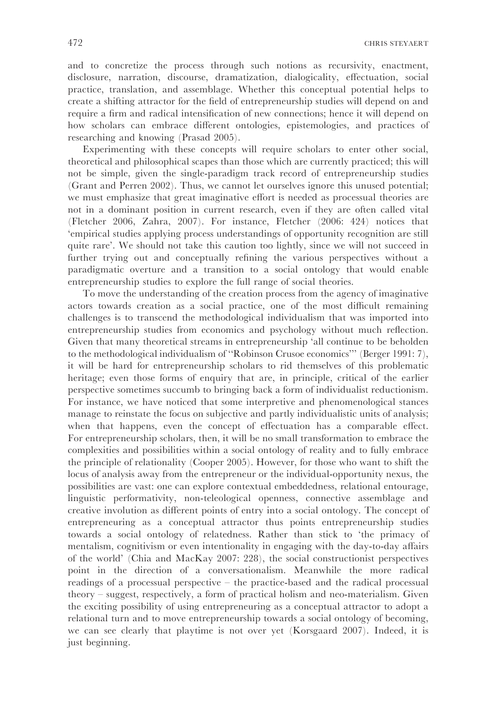and to concretize the process through such notions as recursivity, enactment, disclosure, narration, discourse, dramatization, dialogicality, effectuation, social practice, translation, and assemblage. Whether this conceptual potential helps to create a shifting attractor for the field of entrepreneurship studies will depend on and require a firm and radical intensification of new connections; hence it will depend on how scholars can embrace different ontologies, epistemologies, and practices of researching and knowing (Prasad 2005).

Experimenting with these concepts will require scholars to enter other social, theoretical and philosophical scapes than those which are currently practiced; this will not be simple, given the single-paradigm track record of entrepreneurship studies (Grant and Perren 2002). Thus, we cannot let ourselves ignore this unused potential; we must emphasize that great imaginative effort is needed as processual theories are not in a dominant position in current research, even if they are often called vital (Fletcher 2006, Zahra, 2007). For instance, Fletcher (2006: 424) notices that 'empirical studies applying process understandings of opportunity recognition are still quite rare'. We should not take this caution too lightly, since we will not succeed in further trying out and conceptually refining the various perspectives without a paradigmatic overture and a transition to a social ontology that would enable entrepreneurship studies to explore the full range of social theories.

To move the understanding of the creation process from the agency of imaginative actors towards creation as a social practice, one of the most difficult remaining challenges is to transcend the methodological individualism that was imported into entrepreneurship studies from economics and psychology without much reflection. Given that many theoretical streams in entrepreneurship 'all continue to be beholden to the methodological individualism of ''Robinson Crusoe economics''' (Berger 1991: 7), it will be hard for entrepreneurship scholars to rid themselves of this problematic heritage; even those forms of enquiry that are, in principle, critical of the earlier perspective sometimes succumb to bringing back a form of individualist reductionism. For instance, we have noticed that some interpretive and phenomenological stances manage to reinstate the focus on subjective and partly individualistic units of analysis; when that happens, even the concept of effectuation has a comparable effect. For entrepreneurship scholars, then, it will be no small transformation to embrace the complexities and possibilities within a social ontology of reality and to fully embrace the principle of relationality (Cooper 2005). However, for those who want to shift the locus of analysis away from the entrepreneur or the individual-opportunity nexus, the possibilities are vast: one can explore contextual embeddedness, relational entourage, linguistic performativity, non-teleological openness, connective assemblage and creative involution as different points of entry into a social ontology. The concept of entrepreneuring as a conceptual attractor thus points entrepreneurship studies towards a social ontology of relatedness. Rather than stick to 'the primacy of mentalism, cognitivism or even intentionality in engaging with the day-to-day affairs of the world' (Chia and MacKay 2007: 228), the social constructionist perspectives point in the direction of a conversationalism. Meanwhile the more radical readings of a processual perspective – the practice-based and the radical processual theory – suggest, respectively, a form of practical holism and neo-materialism. Given the exciting possibility of using entrepreneuring as a conceptual attractor to adopt a relational turn and to move entrepreneurship towards a social ontology of becoming, we can see clearly that playtime is not over yet (Korsgaard 2007). Indeed, it is just beginning.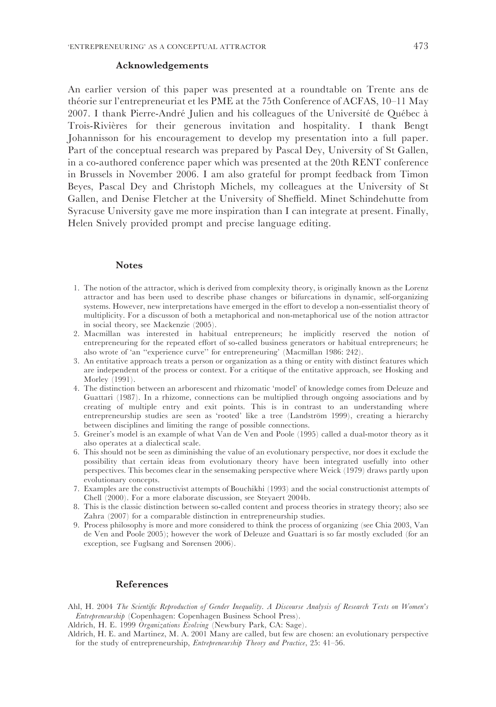#### Acknowledgements

An earlier version of this paper was presented at a roundtable on Trente ans de théorie sur l'entrepreneuriat et les PME at the 75th Conference of ACFAS, 10–11 May  $2007$ . I thank Pierre-André Julien and his colleagues of the Université de Québec à Trois-Rivières for their generous invitation and hospitality. I thank Bengt Johannisson for his encouragement to develop my presentation into a full paper. Part of the conceptual research was prepared by Pascal Dey, University of St Gallen, in a co-authored conference paper which was presented at the 20th RENT conference in Brussels in November 2006. I am also grateful for prompt feedback from Timon Beyes, Pascal Dey and Christoph Michels, my colleagues at the University of St Gallen, and Denise Fletcher at the University of Sheffield. Minet Schindehutte from Syracuse University gave me more inspiration than I can integrate at present. Finally, Helen Snively provided prompt and precise language editing.

#### Notes

- 1. The notion of the attractor, which is derived from complexity theory, is originally known as the Lorenz attractor and has been used to describe phase changes or bifurcations in dynamic, self-organizing systems. However, new interpretations have emerged in the effort to develop a non-essentialist theory of multiplicity. For a discusson of both a metaphorical and non-metaphorical use of the notion attractor in social theory, see Mackenzie (2005).
- 2. Macmillan was interested in habitual entrepreneurs; he implicitly reserved the notion of entrepreneuring for the repeated effort of so-called business generators or habitual entrepreneurs; he also wrote of 'an ''experience curve'' for entrepreneuring' (Macmillan 1986: 242).
- 3. An entitative approach treats a person or organization as a thing or entity with distinct features which are independent of the process or context. For a critique of the entitative approach, see Hosking and Morley (1991).
- 4. The distinction between an arborescent and rhizomatic 'model' of knowledge comes from Deleuze and Guattari (1987). In a rhizome, connections can be multiplied through ongoing associations and by creating of multiple entry and exit points. This is in contrast to an understanding where entrepreneurship studies are seen as 'rooted' like a tree (Landström 1999), creating a hierarchy between disciplines and limiting the range of possible connections.
- 5. Greiner's model is an example of what Van de Ven and Poole (1995) called a dual-motor theory as it also operates at a dialectical scale.
- 6. This should not be seen as diminishing the value of an evolutionary perspective, nor does it exclude the possibility that certain ideas from evolutionary theory have been integrated usefully into other perspectives. This becomes clear in the sensemaking perspective where Weick (1979) draws partly upon evolutionary concepts.
- 7. Examples are the constructivist attempts of Bouchikhi (1993) and the social constructionist attempts of Chell (2000). For a more elaborate discussion, see Steyaert 2004b.
- 8. This is the classic distinction between so-called content and process theories in strategy theory; also see Zahra (2007) for a comparable distinction in entrepreneurship studies.
- 9. Process philosophy is more and more considered to think the process of organizing (see Chia 2003, Van de Ven and Poole 2005); however the work of Deleuze and Guattari is so far mostly excluded (for an exception, see Fuglsang and Sørensen 2006).

#### References

Ahl, H. 2004 The Scientific Reproduction of Gender Inequality. A Discourse Analysis of Research Texts on Women's Entrepreneurship (Copenhagen: Copenhagen Business School Press).

Aldrich, H. E. 1999 Organizations Evolving (Newbury Park, CA: Sage).

Aldrich, H. E. and Martinez, M. A. 2001 Many are called, but few are chosen: an evolutionary perspective for the study of entrepreneurship, Entrepreneurship Theory and Practice, 25: 41–56.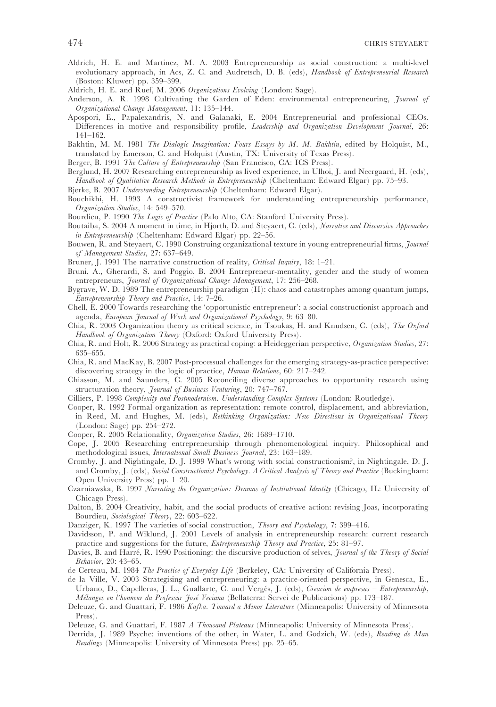- Aldrich, H. E. and Martinez, M. A. 2003 Entrepreneurship as social construction: a multi-level evolutionary approach, in Acs, Z. C. and Audretsch, D. B. (eds), Handbook of Entrepreneurial Research (Boston: Kluwer) pp. 359–399.
- Aldrich, H. E. and Ruef, M. 2006 Organizations Evolving (London: Sage).
- Anderson, A. R. 1998 Cultivating the Garden of Eden: environmental entrepreneuring, *Journal of* Organizational Change Management, 11: 135–144.
- Apospori, E., Papalexandris, N. and Galanaki, E. 2004 Entrepreneurial and professional CEOs. Differences in motive and responsibility profile, Leadership and Organization Development Journal, 26: 141–162.
- Bakhtin, M. M. 1981 The Dialogic Imagination: Fours Essays by M. M. Bakhtin, edited by Holquist, M., translated by Emerson, C. and Holquist (Austin, TX: University of Texas Press).
- Berger, B. 1991 The Culture of Entrepreneurship (San Francisco, CA: ICS Press).
- Berglund, H. 2007 Researching entrepreneurship as lived experience, in Ulhoi, J. and Neergaard, H. (eds), Handbook of Qualitative Research Methods in Entrepreneurship (Cheltenham: Edward Elgar) pp. 75–93.
- Bjerke, B. 2007 Understanding Entrepreneurship (Cheltenham: Edward Elgar).
- Bouchikhi, H. 1993 A constructivist framework for understanding entrepreneurship performance, Organization Studies, 14: 549–570.
- Bourdieu, P. 1990 The Logic of Practice (Palo Alto, CA: Stanford University Press).
- Boutaiba, S. 2004 A moment in time, in Hjorth, D. and Steyaert, C. (eds), Narrative and Discursive Approaches in Entrepreneurship (Cheltenham: Edward Elgar) pp. 22–56.
- Bouwen, R. and Steyaert, C. 1990 Construing organizational texture in young entrepreneurial firms, Journal of Management Studies, 27: 637–649.
- Bruner, J. 1991 The narrative construction of reality, Critical Inquiry, 18: 1-21.
- Bruni, A., Gherardi, S. and Poggio, B. 2004 Entrepreneur-mentality, gender and the study of women entrepreneurs, Journal of Organizational Change Management, 17: 256–268.
- Bygrave, W. D. 1989 The entrepreneurship paradigm (II): chaos and catastrophes among quantum jumps, Entrepreneurship Theory and Practice, 14: 7–26.
- Chell, E. 2000 Towards researching the 'opportunistic entrepreneur': a social constructionist approach and agenda, European Journal of Work and Organizational Psychology, 9: 63–80.
- Chia, R. 2003 Organization theory as critical science, in Tsoukas, H. and Knudsen, C. (eds), The Oxford Handbook of Organization Theory (Oxford: Oxford University Press).
- Chia, R. and Holt, R. 2006 Strategy as practical coping: a Heideggerian perspective, Organization Studies, 27: 635–655.
- Chia, R. and MacKay, B. 2007 Post-processual challenges for the emerging strategy-as-practice perspective: discovering strategy in the logic of practice, Human Relations, 60: 217–242.
- Chiasson, M. and Saunders, C. 2005 Reconciling diverse approaches to opportunity research using structuration theory, Journal of Business Venturing, 20: 747-767.
- Cilliers, P. 1998 Complexity and Postmodernism. Understanding Complex Systems (London: Routledge).
- Cooper, R. 1992 Formal organization as representation: remote control, displacement, and abbreviation, in Reed, M. and Hughes, M. (eds), Rethinking Organization: New Directions in Organizational Theory (London: Sage) pp. 254–272.
- Cooper, R. 2005 Relationality, Organization Studies, 26: 1689–1710.
- Cope, J. 2005 Researching entrepreneurship through phenomenological inquiry. Philosophical and methodological issues, International Small Business Journal, 23: 163–189.
- Cromby, J. and Nightingale, D. J. 1999 What's wrong with social constructionism?, in Nightingale, D. J. and Cromby, J. (eds), Social Constructionist Psychology. A Critical Analysis of Theory and Practice (Buckingham: Open University Press) pp. 1–20.
- Czarniawska, B. 1997 Narrating the Organization: Dramas of Institutional Identity (Chicago, IL: University of Chicago Press).
- Dalton, B. 2004 Creativity, habit, and the social products of creative action: revising Joas, incorporating Bourdieu, Sociological Theory, 22: 603–622.
- Danziger, K. 1997 The varieties of social construction, *Theory and Psychology*, 7: 399–416.
- Davidsson, P. and Wiklund, J. 2001 Levels of analysis in entrepreneurship research: current research practice and suggestions for the future, Entrepreneurship Theory and Practice, 25: 81–97.
- Davies, B. and Harré, R. 1990 Positioning: the discursive production of selves, Journal of the Theory of Social Behavior, 20: 43–65.
- de Certeau, M. 1984 The Practice of Everyday Life (Berkeley, CA: University of California Press).
- de la Ville, V. 2003 Strategising and entrepreneuring: a practice-oriented perspective, in Genesca, E., Urbano, D., Capelleras, J. L., Guallarte, C. and Vergés, J. (eds), Creacion de empresas – Entrepeneurship, Mélanges en l'honneur du Professur José Veciana (Bellaterra: Servei de Publicacions) pp. 173-187.
- Deleuze, G. and Guattari, F. 1986 Kafka. Toward a Minor Literature (Minneapolis: University of Minnesota Press).
- Deleuze, G. and Guattari, F. 1987 A Thousand Plateaus (Minneapolis: University of Minnesota Press).
- Derrida, J. 1989 Psyche: inventions of the other, in Water, L. and Godzich, W. (eds), Reading de Man Readings (Minneapolis: University of Minnesota Press) pp. 25–65.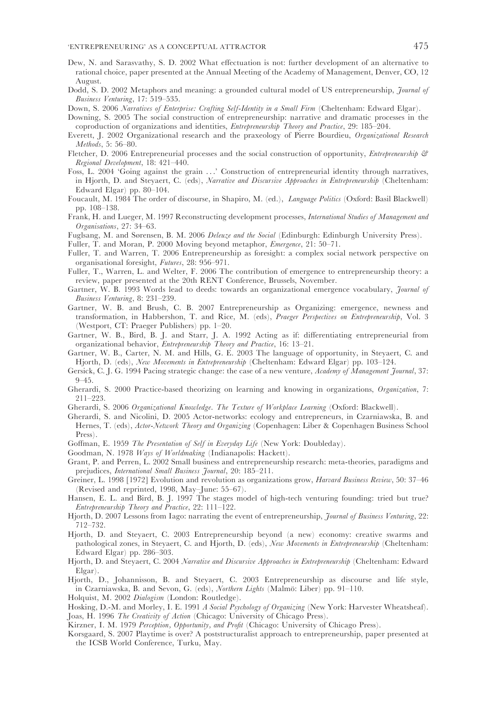- Dew, N. and Sarasvathy, S. D. 2002 What effectuation is not: further development of an alternative to rational choice, paper presented at the Annual Meeting of the Academy of Management, Denver, CO, 12 August.
- Dodd, S. D. 2002 Metaphors and meaning: a grounded cultural model of US entrepreneurship, Journal of Business Venturing, 17: 519–535.
- Down, S. 2006 Narratives of Enterprise: Crafting Self-Identity in a Small Firm (Cheltenham: Edward Elgar).
- Downing, S. 2005 The social construction of entrepreneurship: narrative and dramatic processes in the coproduction of organizations and identities, Entrepreneurship Theory and Practice, 29: 185–204.
- Everett, J. 2002 Organizational research and the praxeology of Pierre Bourdieu, Organizational Research Methods, 5: 56–80.
- Fletcher, D. 2006 Entrepreneurial processes and the social construction of opportunity, *Entrepreneurship*  $\mathcal{C}$ Regional Development, 18: 421–440.
- Foss, L. 2004 'Going against the grain ...' Construction of entrepreneurial identity through narratives, in Hjorth, D. and Steyaert, C. (eds), Narrative and Discursive Approaches in Entrepreneurship (Cheltenham: Edward Elgar) pp. 80–104.
- Foucault, M. 1984 The order of discourse, in Shapiro, M. (ed.), Language Politics (Oxford: Basil Blackwell) pp. 108–138.
- Frank, H. and Lueger, M. 1997 Reconstructing development processes, International Studies of Management and Organisations, 27: 34–63.
- Fuglsang, M. and Sørensen, B. M. 2006 Deleuze and the Social (Edinburgh: Edinburgh University Press).
- Fuller, T. and Moran, P. 2000 Moving beyond metaphor, *Emergence*, 21: 50–71.
- Fuller, T. and Warren, T. 2006 Entrepreneurship as foresight: a complex social network perspective on organisational foresight, Futures, 28: 956–971.
- Fuller, T., Warren, L. and Welter, F. 2006 The contribution of emergence to entrepreneurship theory: a review, paper presented at the 20th RENT Conference, Brussels, November.
- Gartner, W. B. 1993 Words lead to deeds: towards an organizational emergence vocabulary, Journal of Business Venturing, 8: 231–239.
- Gartner, W. B. and Brush, C. B. 2007 Entrepreneurship as Organizing: emergence, newness and transformation, in Habbershon, T. and Rice, M. (eds), Praeger Perspectives on Entrepreneurship, Vol. 3 (Westport, CT: Praeger Publishers) pp. 1–20.
- Gartner, W. B., Bird, B. J. and Starr, J. A. 1992 Acting as if: differentiating entrepreneurial from organizational behavior, Entrepreneurship Theory and Practice, 16: 13–21.
- Gartner, W. B., Carter, N. M. and Hills, G. E. 2003 The language of opportunity, in Steyaert, C. and Hjorth, D. (eds), New Movements in Entrepreneurship (Cheltenham: Edward Elgar) pp. 103–124.
- Gersick, C. J. G. 1994 Pacing strategic change: the case of a new venture, Academy of Management Journal, 37: 9–45.
- Gherardi, S. 2000 Practice-based theorizing on learning and knowing in organizations, Organization, 7: 211–223.
- Gherardi, S. 2006 Organizational Knowledge. The Texture of Workplace Learning (Oxford: Blackwell).
- Gherardi, S. and Nicolini, D. 2005 Actor-networks: ecology and entrepreneurs, in Czarniawska, B. and Hernes, T. (eds), Actor-Network Theory and Organizing (Copenhagen: Liber & Copenhagen Business School Press).
- Goffman, E. 1959 The Presentation of Self in Everyday Life (New York: Doubleday).
- Goodman, N. 1978 Ways of Worldmaking (Indianapolis: Hackett).
- Grant, P. and Perren, L. 2002 Small business and entrepreneurship research: meta-theories, paradigms and prejudices, International Small Business Journal, 20: 185–211.
- Greiner, L. 1998 [1972] Evolution and revolution as organizations grow, *Harvard Business Review*, 50: 37–46 (Revised and reprinted, 1998, May–June: 55–67).
- Hansen, E. L. and Bird, B. J. 1997 The stages model of high-tech venturing founding: tried but true? Entrepreneurship Theory and Practice, 22: 111–122.
- Hjorth, D. 2007 Lessons from Iago: narrating the event of entrepreneurship, *Journal of Business Venturing*, 22: 712–732.
- Hjorth, D. and Steyaert, C. 2003 Entrepreneurship beyond (a new) economy: creative swarms and pathological zones, in Steyaert, C. and Hjorth, D. (eds), New Movements in Entrepreneurship (Cheltenham: Edward Elgar) pp. 286–303.
- Hjorth, D. and Steyaert, C. 2004 Narrative and Discursive Approaches in Entrepreneurship (Cheltenham: Edward Elgar).
- Hjorth, D., Johannisson, B. and Steyaert, C. 2003 Entrepreneurship as discourse and life style, in Czarniawska, B. and Sevon, G. (eds), Northern Lights (Malmö: Liber) pp. 91-110.
- Holquist, M. 2002 Dialogism (London: Routledge).
- Hosking, D.-M. and Morley, I. E. 1991 A Social Psychology of Organizing (New York: Harvester Wheatsheaf). Joas, H. 1996 The Creativity of Action (Chicago: University of Chicago Press).
- Kirzner, I. M. 1979 Perception, Opportunity, and Profit (Chicago: University of Chicago Press).
- Korsgaard, S. 2007 Playtime is over? A poststructuralist approach to entrepreneurship, paper presented at the ICSB World Conference, Turku, May.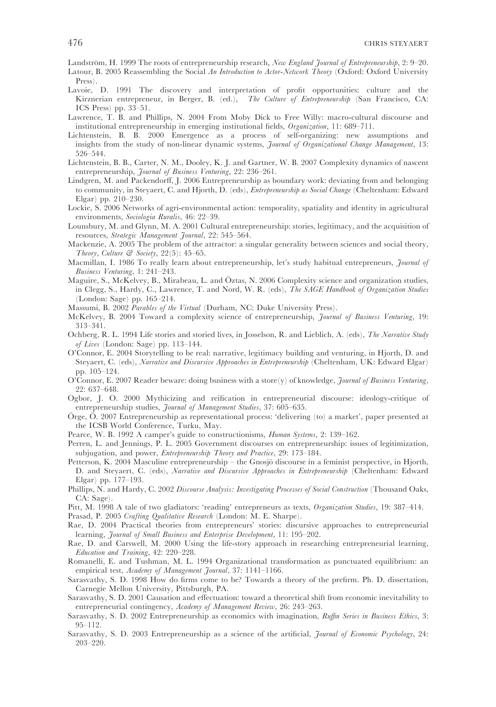- Landström, H. 1999 The roots of entrepreneurship research, New England Journal of Entrepreneurship, 2: 9–20.
- Latour, B. 2005 Reassembling the Social An Introduction to Actor-Network Theory (Oxford: Oxford University Press).
- Lavoie, D. 1991 The discovery and interpretation of profit opportunities: culture and the Kirznerian entrepreneur, in Berger, B. (ed.), The Culture of Entrepreneurship (San Francisco, CA: ICS Press) pp. 33–51.
- Lawrence, T. B. and Phillips, N. 2004 From Moby Dick to Free Willy: macro-cultural discourse and institutional entrepreneurship in emerging institutional fields, Organization, 11: 689–711.
- Lichtenstein, B. B. 2000 Emergence as a process of self-organizing: new assumptions and insights from the study of non-linear dynamic systems, Journal of Organizational Change Management, 13: 526–544.
- Lichtenstein, B. B., Carter, N. M., Dooley, K. J. and Gartner, W. B. 2007 Complexity dynamics of nascent entrepreneurship, Journal of Business Venturing, 22: 236-261.
- Lindgren, M. and Packendorff, J. 2006 Entrepreneurship as boundary work: deviating from and belonging to community, in Steyaert, C. and Hjorth, D. (eds), *Entrepreneurship as Social Change* (Cheltenham: Edward Elgar) pp. 210–230.
- Lockie, S. 2006 Networks of agri-environmental action: temporality, spatiality and identity in agricultural environments, Sociologia Ruralis, 46: 22–39.
- Lounsbury, M. and Glynn, M. A. 2001 Cultural entrepreneurship: stories, legitimacy, and the acquisition of resources, Strategic Management Journal, 22: 545–564.
- Mackenzie, A. 2005 The problem of the attractor: a singular generality between sciences and social theory, Theory, Culture  $\mathcal C$  Society, 22(5): 45–65.
- Macmillan, I. 1986 To really learn about entrepreneurship, let's study habitual entrepreneurs, *Journal of* Business Venturing, 1: 241–243.
- Maguire, S., McKelvey, B., Mirabeau, L. and Öztas, N. 2006 Complexity science and organization studies, in Clegg, S., Hardy, C., Lawrence, T. and Nord, W. R. (eds), The SAGE Handbook of Organization Studies (London: Sage) pp. 165–214.
- Massumi, B. 2002 Parables of the Virtual (Durham, NC: Duke University Press).
- McKelvey, B. 2004 Toward a complexity science of entrepreneurship, Journal of Business Venturing, 19: 313–341.
- Ochberg, R. L. 1994 Life stories and storied lives, in Josselson, R. and Lieblich, A. (eds), The Narrative Study of Lives (London: Sage) pp. 113–144.
- O'Connor, E. 2004 Storytelling to be real: narrative, legitimacy building and venturing, in Hjorth, D. and Steyaert, C. (eds), Narrative and Discursive Approaches in Entrepreneurship (Cheltenham, UK: Edward Elgar) pp. 105–124.
- O'Connor, E. 2007 Reader beware: doing business with a store(y) of knowledge, Journal of Business Venturing, 22: 637–648.
- Ogbor, J. O. 2000 Mythicizing and reification in entrepreneurial discourse: ideology-critique of entrepreneurship studies, Journal of Management Studies, 37: 605-635.
- O¨rge, O¨ . 2007 Entrepreneurship as representational process: 'delivering (to) a market', paper presented at the ICSB World Conference, Turku, May.
- Pearce, W. B. 1992 A camper's guide to constructionisms, Human Systems, 2: 139–162.
- Perren, L. and Jennings, P. L. 2005 Government discourses on entrepreneurship: issues of legitimization, subjugation, and power, *Entrepreneurship Theory and Practice*, 29: 173-184.
- Petterson, K. 2004 Masculine entrepreneurship the Gnosjö discourse in a feminist perspective, in Hjorth, D. and Steyaert, C. (eds), Narrative and Discursive Approaches in Entrepreneurship (Cheltenham: Edward Elgar) pp. 177–193.
- Phillips, N. and Hardy, C. 2002 Discourse Analysis: Investigating Processes of Social Construction (Thousand Oaks, CA: Sage).
- Pitt, M. 1998 A tale of two gladiators: 'reading' entrepreneurs as texts, Organization Studies, 19: 387–414.
- Prasad, P. 2005 Crafting Qualitative Research (London: M. E. Sharpe).
- Rae, D. 2004 Practical theories from entrepreneurs' stories: discursive approaches to entrepreneurial learning, Journal of Small Business and Enterprise Development, 11: 195–202.
- Rae, D. and Carswell, M. 2000 Using the life-story approach in researching entrepreneurial learning, Education and Training, 42: 220–228.
- Romanelli, E. and Tushman, M. L. 1994 Organizational transformation as punctuated equilibrium: an empirical test, Academy of Management Journal, 37: 1141-1166.
- Sarasvathy, S. D. 1998 How do firms come to be? Towards a theory of the prefirm. Ph. D. dissertation, Carnegie Mellon University, Pittsburgh, PA.
- Sarasvathy, S. D. 2001 Causation and effectuation: toward a theoretical shift from economic inevitability to entrepreneurial contingency, Academy of Management Review, 26: 243–263.
- Sarasvathy, S. D. 2002 Entrepreneurship as economics with imagination, Ruffin Series in Business Ethics, 3: 95–112.
- Sarasvathy, S. D. 2003 Entrepreneurship as a science of the artificial, Journal of Economic Psychology, 24: 203–220.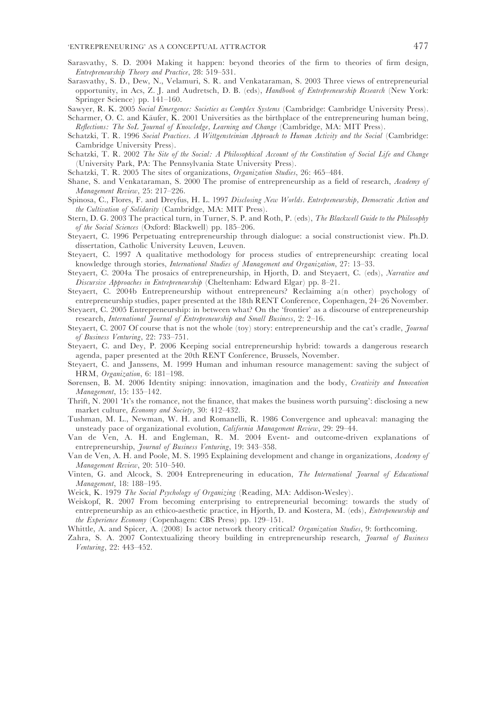- Sarasvathy, S. D. 2004 Making it happen: beyond theories of the firm to theories of firm design, Entrepreneurship Theory and Practice, 28: 519–531.
- Sarasvathy, S. D., Dew, N., Velamuri, S. R. and Venkataraman, S. 2003 Three views of entrepreneurial opportunity, in Acs, Z. J. and Audretsch, D. B. (eds), Handbook of Entrepreneurship Research (New York: Springer Science) pp. 141–160.
- Sawyer, R. K. 2005 Social Emergence: Societies as Complex Systems (Cambridge: Cambridge University Press).
- Scharmer, O. C. and Käufer, K. 2001 Universities as the birthplace of the entrepreneuring human being, Reflections: The SoL Journal of Knowledge, Learning and Change (Cambridge, MA: MIT Press).
- Schatzki, T. R. 1996 Social Practices. A Wittgensteinian Approach to Human Activity and the Social (Cambridge: Cambridge University Press).
- Schatzki, T. R. 2002 The Site of the Social: A Philosophical Account of the Constitution of Social Life and Change (University Park, PA: The Pennsylvania State University Press).
- Schatzki, T. R. 2005 The sites of organizations, Organization Studies, 26: 465–484.
- Shane, S. and Venkataraman, S. 2000 The promise of entrepreneurship as a field of research, Academy of Management Review, 25: 217–226.
- Spinosa, C., Flores, F. and Dreyfus, H. L. 1997 Disclosing New Worlds. Entrepreneurship, Democratic Action and the Cultivation of Solidarity (Cambridge, MA: MIT Press).
- Stern, D. G. 2003 The practical turn, in Turner, S. P. and Roth, P. (eds), The Blackwell Guide to the Philosophy of the Social Sciences (Oxford: Blackwell) pp. 185–206.
- Steyaert, C. 1996 Perpetuating entrepreneurship through dialogue: a social constructionist view. Ph.D. dissertation, Catholic University Leuven, Leuven.
- Steyaert, C. 1997 A qualitative methodology for process studies of entrepreneurship: creating local knowledge through stories, International Studies of Management and Organization, 27: 13–33.
- Steyaert, C. 2004a The prosaics of entrepreneurship, in Hjorth, D. and Steyaert, C. (eds), Narrative and Discursive Approaches in Entrepreneurship (Cheltenham: Edward Elgar) pp. 8–21.
- Steyaert, C. 2004b Entrepreneurship without entrepreneurs? Reclaiming a(n other) psychology of entrepreneurship studies, paper presented at the 18th RENT Conference, Copenhagen, 24–26 November.
- Steyaert, C. 2005 Entrepreneurship: in between what? On the 'frontier' as a discourse of entrepreneurship research, International Journal of Entrepreneurship and Small Business, 2: 2-16.
- Steyaert, C. 2007 Of course that is not the whole (toy) story: entrepreneurship and the cat's cradle, *Journal* of Business Venturing, 22: 733–751.
- Steyaert, C. and Dey, P. 2006 Keeping social entrepreneurship hybrid: towards a dangerous research agenda, paper presented at the 20th RENT Conference, Brussels, November.
- Steyaert, C. and Janssens, M. 1999 Human and inhuman resource management: saving the subject of HRM, Organization, 6: 181–198.
- Sørensen, B. M. 2006 Identity sniping: innovation, imagination and the body, Creativity and Innovation Management, 15: 135–142.
- Thrift, N. 2001 'It's the romance, not the finance, that makes the business worth pursuing': disclosing a new market culture, Economy and Society, 30: 412–432.
- Tushman, M. L., Newman, W. H. and Romanelli, R. 1986 Convergence and upheaval: managing the unsteady pace of organizational evolution, California Management Review, 29: 29–44.
- Van de Ven, A. H. and Engleman, R. M. 2004 Event- and outcome-driven explanations of entrepreneurship, Journal of Business Venturing, 19: 343-358.
- Van de Ven, A. H. and Poole, M. S. 1995 Explaining development and change in organizations, Academy of Management Review, 20: 510–540.
- Vinten, G. and Alcock, S. 2004 Entrepreneuring in education, *The International Journal of Educational* Management, 18: 188–195.
- Weick, K. 1979 The Social Psychology of Organizing (Reading, MA: Addison-Wesley).
- Weiskopf, R. 2007 From becoming enterprising to entrepreneurial becoming: towards the study of entrepreneurship as an ethico-aesthetic practice, in Hjorth, D. and Kostera, M. (eds), Entrepeneurship and the Experience Economy (Copenhagen: CBS Press) pp. 129–151.
- Whittle, A. and Spicer, A. (2008) Is actor network theory critical? Organization Studies, 9: forthcoming.
- Zahra, S. A. 2007 Contextualizing theory building in entrepreneurship research, Journal of Business Venturing, 22: 443–452.